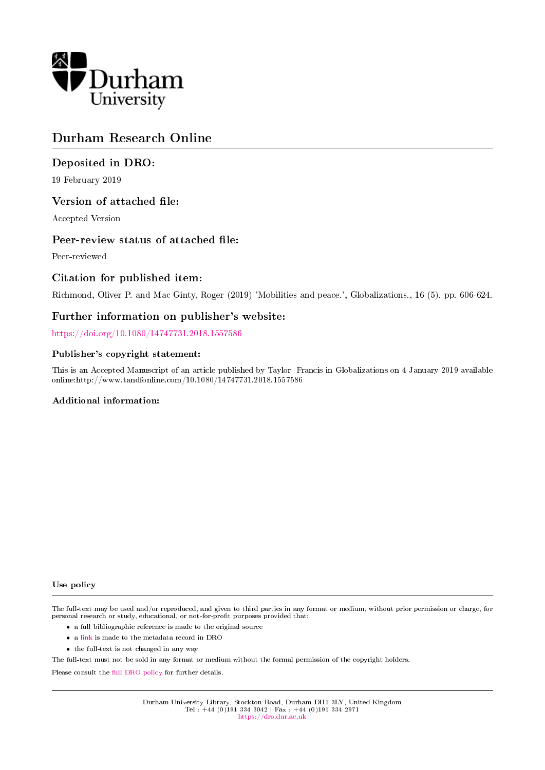

# Durham Research Online

# Deposited in DRO:

19 February 2019

## Version of attached file:

Accepted Version

### Peer-review status of attached file:

Peer-reviewed

### Citation for published item:

Richmond, Oliver P. and Mac Ginty, Roger (2019) 'Mobilities and peace.', Globalizations., 16 (5). pp. 606-624.

### Further information on publisher's website:

<https://doi.org/10.1080/14747731.2018.1557586>

#### Publisher's copyright statement:

This is an Accepted Manuscript of an article published by Taylor Francis in Globalizations on 4 January 2019 available online:http://www.tandfonline.com/10.1080/14747731.2018.1557586

#### Additional information:

#### Use policy

The full-text may be used and/or reproduced, and given to third parties in any format or medium, without prior permission or charge, for personal research or study, educational, or not-for-profit purposes provided that:

- a full bibliographic reference is made to the original source
- a [link](http://dro.dur.ac.uk/27478/) is made to the metadata record in DRO
- the full-text is not changed in any way

The full-text must not be sold in any format or medium without the formal permission of the copyright holders.

Please consult the [full DRO policy](https://dro.dur.ac.uk/policies/usepolicy.pdf) for further details.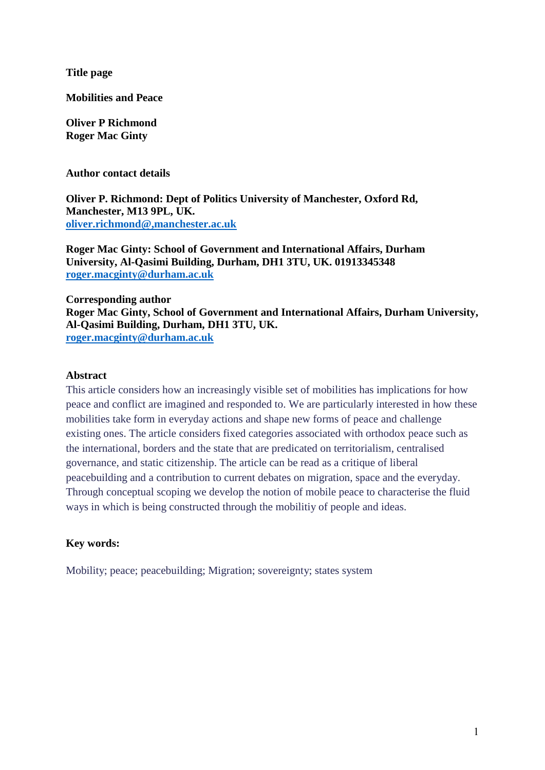**Title page**

**Mobilities and Peace**

**Oliver P Richmond Roger Mac Ginty**

**Author contact details**

**Oliver P. Richmond: Dept of Politics University of Manchester, Oxford Rd, Manchester, M13 9PL, UK. [oliver.richmond@,manchester.ac.uk](mailto:oliver.richmond@,manchester.ac.uk)**

**Roger Mac Ginty: School of Government and International Affairs, Durham University, Al-Qasimi Building, Durham, DH1 3TU, UK. 01913345348 [roger.macginty@durham.ac.uk](mailto:roger.macginty@durham.ac.uk)**

**Corresponding author Roger Mac Ginty, School of Government and International Affairs, Durham University, Al-Qasimi Building, Durham, DH1 3TU, UK. [roger.macginty@durham.ac.uk](mailto:roger.macginty@durham.ac.uk)**

## **Abstract**

This article considers how an increasingly visible set of mobilities has implications for how peace and conflict are imagined and responded to. We are particularly interested in how these mobilities take form in everyday actions and shape new forms of peace and challenge existing ones. The article considers fixed categories associated with orthodox peace such as the international, borders and the state that are predicated on territorialism, centralised governance, and static citizenship. The article can be read as a critique of liberal peacebuilding and a contribution to current debates on migration, space and the everyday. Through conceptual scoping we develop the notion of mobile peace to characterise the fluid ways in which is being constructed through the mobilitiy of people and ideas.

# **Key words:**

Mobility; peace; peacebuilding; Migration; sovereignty; states system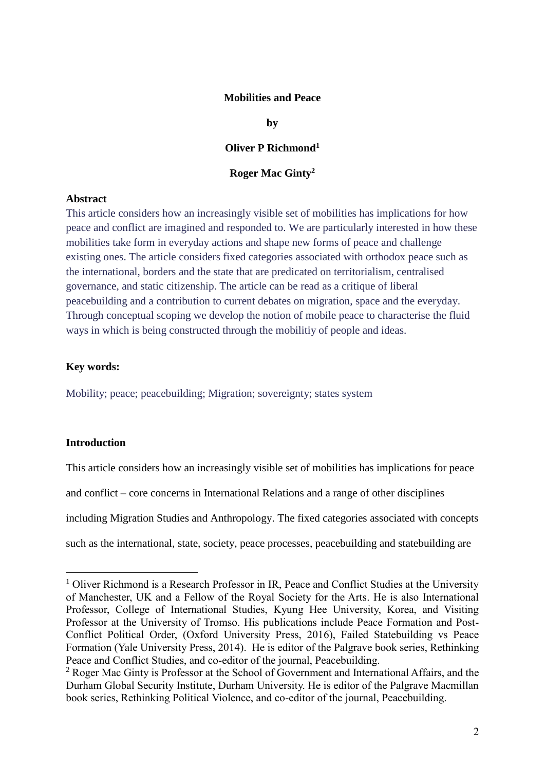#### **Mobilities and Peace**

#### **by**

### **Oliver P Richmond<sup>1</sup>**

# **Roger Mac Ginty<sup>2</sup>**

### **Abstract**

This article considers how an increasingly visible set of mobilities has implications for how peace and conflict are imagined and responded to. We are particularly interested in how these mobilities take form in everyday actions and shape new forms of peace and challenge existing ones. The article considers fixed categories associated with orthodox peace such as the international, borders and the state that are predicated on territorialism, centralised governance, and static citizenship. The article can be read as a critique of liberal peacebuilding and a contribution to current debates on migration, space and the everyday. Through conceptual scoping we develop the notion of mobile peace to characterise the fluid ways in which is being constructed through the mobilitiy of people and ideas.

#### **Key words:**

Mobility; peace; peacebuilding; Migration; sovereignty; states system

#### **Introduction**

1

This article considers how an increasingly visible set of mobilities has implications for peace and conflict – core concerns in International Relations and a range of other disciplines including Migration Studies and Anthropology. The fixed categories associated with concepts such as the international, state, society, peace processes, peacebuilding and statebuilding are

 $<sup>1</sup>$  Oliver Richmond is a Research Professor in IR, Peace and Conflict Studies at the University</sup> of Manchester, UK and a Fellow of the Royal Society for the Arts. He is also International Professor, College of International Studies, Kyung Hee University, Korea, and Visiting Professor at the University of Tromso. His publications include Peace Formation and Post-Conflict Political Order, (Oxford University Press, 2016), Failed Statebuilding vs Peace Formation (Yale University Press, 2014). He is editor of the Palgrave book series, Rethinking Peace and Conflict Studies, and co-editor of the journal, Peacebuilding.

<sup>&</sup>lt;sup>2</sup> Roger Mac Ginty is Professor at the School of Government and International Affairs, and the Durham Global Security Institute, Durham University. He is editor of the Palgrave Macmillan book series, Rethinking Political Violence, and co-editor of the journal, Peacebuilding.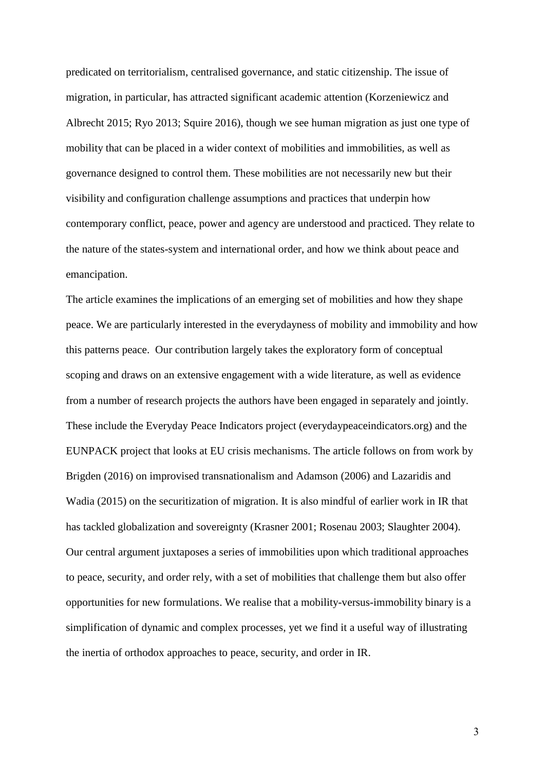predicated on territorialism, centralised governance, and static citizenship. The issue of migration, in particular, has attracted significant academic attention (Korzeniewicz and Albrecht 2015; Ryo 2013; Squire 2016), though we see human migration as just one type of mobility that can be placed in a wider context of mobilities and immobilities, as well as governance designed to control them. These mobilities are not necessarily new but their visibility and configuration challenge assumptions and practices that underpin how contemporary conflict, peace, power and agency are understood and practiced. They relate to the nature of the states-system and international order, and how we think about peace and emancipation.

The article examines the implications of an emerging set of mobilities and how they shape peace. We are particularly interested in the everydayness of mobility and immobility and how this patterns peace. Our contribution largely takes the exploratory form of conceptual scoping and draws on an extensive engagement with a wide literature, as well as evidence from a number of research projects the authors have been engaged in separately and jointly. These include the Everyday Peace Indicators project (everydaypeaceindicators.org) and the EUNPACK project that looks at EU crisis mechanisms. The article follows on from work by Brigden (2016) on improvised transnationalism and Adamson (2006) and Lazaridis and Wadia (2015) on the securitization of migration. It is also mindful of earlier work in IR that has tackled globalization and sovereignty (Krasner 2001; Rosenau 2003; Slaughter 2004). Our central argument juxtaposes a series of immobilities upon which traditional approaches to peace, security, and order rely, with a set of mobilities that challenge them but also offer opportunities for new formulations. We realise that a mobility-versus-immobility binary is a simplification of dynamic and complex processes, yet we find it a useful way of illustrating the inertia of orthodox approaches to peace, security, and order in IR.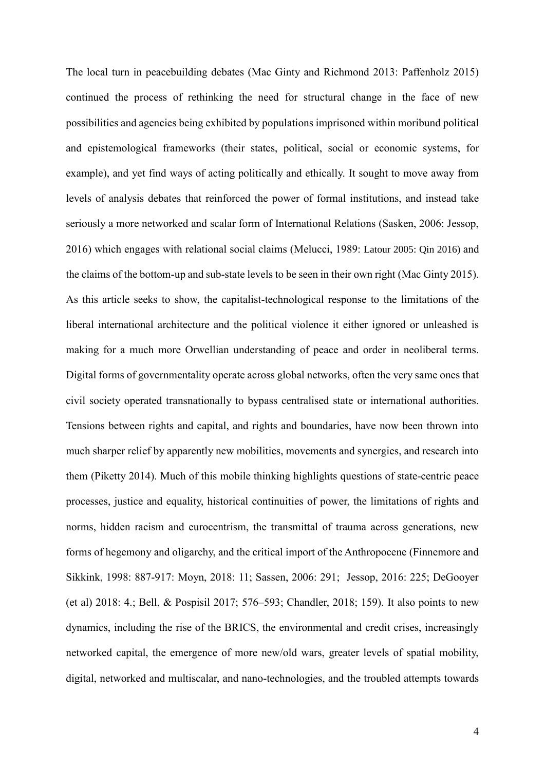The local turn in peacebuilding debates (Mac Ginty and Richmond 2013: Paffenholz 2015) continued the process of rethinking the need for structural change in the face of new possibilities and agencies being exhibited by populations imprisoned within moribund political and epistemological frameworks (their states, political, social or economic systems, for example), and yet find ways of acting politically and ethically. It sought to move away from levels of analysis debates that reinforced the power of formal institutions, and instead take seriously a more networked and scalar form of International Relations (Sasken, 2006: Jessop, 2016) which engages with relational social claims (Melucci, 1989: Latour 2005: Qin 2016) and the claims of the bottom-up and sub-state levels to be seen in their own right (Mac Ginty 2015). As this article seeks to show, the capitalist-technological response to the limitations of the liberal international architecture and the political violence it either ignored or unleashed is making for a much more Orwellian understanding of peace and order in neoliberal terms. Digital forms of governmentality operate across global networks, often the very same ones that civil society operated transnationally to bypass centralised state or international authorities. Tensions between rights and capital, and rights and boundaries, have now been thrown into much sharper relief by apparently new mobilities, movements and synergies, and research into them (Piketty 2014). Much of this mobile thinking highlights questions of state-centric peace processes, justice and equality, historical continuities of power, the limitations of rights and norms, hidden racism and eurocentrism, the transmittal of trauma across generations, new forms of hegemony and oligarchy, and the critical import of the Anthropocene (Finnemore and Sikkink, 1998: 887-917: Moyn, 2018: 11; Sassen, 2006: 291; Jessop, 2016: 225; DeGooyer (et al) 2018: 4.; Bell, & Pospisil 2017; 576–593; Chandler, 2018; 159). It also points to new dynamics, including the rise of the BRICS, the environmental and credit crises, increasingly networked capital, the emergence of more new/old wars, greater levels of spatial mobility, digital, networked and multiscalar, and nano-technologies, and the troubled attempts towards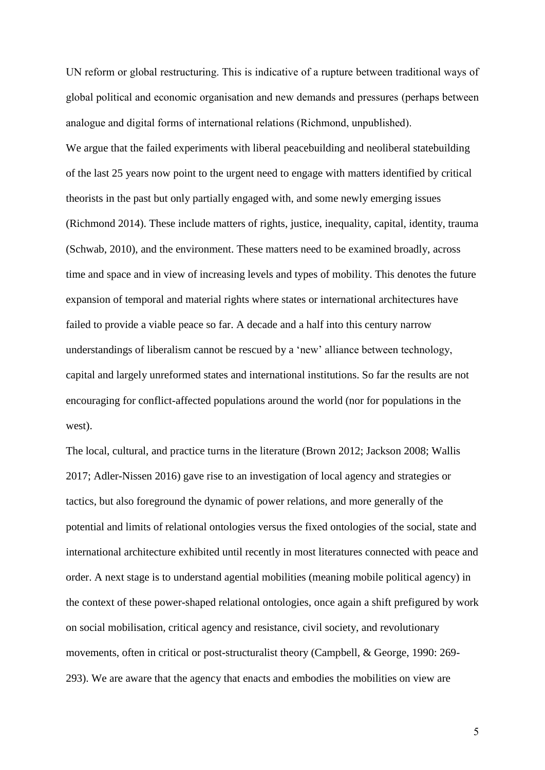UN reform or global restructuring. This is indicative of a rupture between traditional ways of global political and economic organisation and new demands and pressures (perhaps between analogue and digital forms of international relations (Richmond, unpublished). We argue that the failed experiments with liberal peacebuilding and neoliberal statebuilding

of the last 25 years now point to the urgent need to engage with matters identified by critical theorists in the past but only partially engaged with, and some newly emerging issues (Richmond 2014). These include matters of rights, justice, inequality, capital, identity, trauma (Schwab, 2010), and the environment. These matters need to be examined broadly, across time and space and in view of increasing levels and types of mobility. This denotes the future expansion of temporal and material rights where states or international architectures have failed to provide a viable peace so far. A decade and a half into this century narrow understandings of liberalism cannot be rescued by a 'new' alliance between technology, capital and largely unreformed states and international institutions. So far the results are not encouraging for conflict-affected populations around the world (nor for populations in the west).

The local, cultural, and practice turns in the literature (Brown 2012; Jackson 2008; Wallis 2017; Adler-Nissen 2016) gave rise to an investigation of local agency and strategies or tactics, but also foreground the dynamic of power relations, and more generally of the potential and limits of relational ontologies versus the fixed ontologies of the social, state and international architecture exhibited until recently in most literatures connected with peace and order. A next stage is to understand agential mobilities (meaning mobile political agency) in the context of these power-shaped relational ontologies, once again a shift prefigured by work on social mobilisation, critical agency and resistance, civil society, and revolutionary movements, often in critical or post-structuralist theory (Campbell, & George, 1990: 269- 293). We are aware that the agency that enacts and embodies the mobilities on view are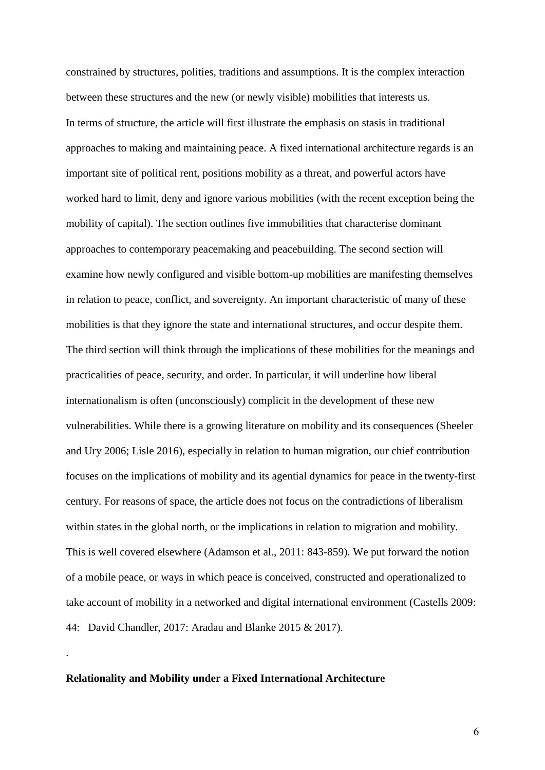constrained by structures, polities, traditions and assumptions. It is the complex interaction between these structures and the new (or newly visible) mobilities that interests us. In terms of structure, the article will first illustrate the emphasis on stasis in traditional approaches to making and maintaining peace. A fixed international architecture regards is an important site of political rent, positions mobility as a threat, and powerful actors have worked hard to limit, deny and ignore various mobilities (with the recent exception being the mobility of capital). The section outlines five immobilities that characterise dominant approaches to contemporary peacemaking and peacebuilding. The second section will examine how newly configured and visible bottom-up mobilities are manifesting themselves in relation to peace, conflict, and sovereignty. An important characteristic of many of these mobilities is that they ignore the state and international structures, and occur despite them. The third section will think through the implications of these mobilities for the meanings and practicalities of peace, security, and order. In particular, it will underline how liberal internationalism is often (unconsciously) complicit in the development of these new vulnerabilities. While there is a growing literature on mobility and its consequences (Sheeler and Ury 2006; Lisle 2016), especially in relation to human migration, our chief contribution focuses on the implications of mobility and its agential dynamics for peace in the twenty-first century. For reasons of space, the article does not focus on the contradictions of liberalism within states in the global north, or the implications in relation to migration and mobility. This is well covered elsewhere (Adamson et al., 2011: 843-859). We put forward the notion of a mobile peace, or ways in which peace is conceived, constructed and operationalized to take account of mobility in a networked and digital international environment (Castells 2009: 44: David Chandler, 2017: Aradau and Blanke 2015 & 2017).

## **Relationality and Mobility under a Fixed International Architecture**

.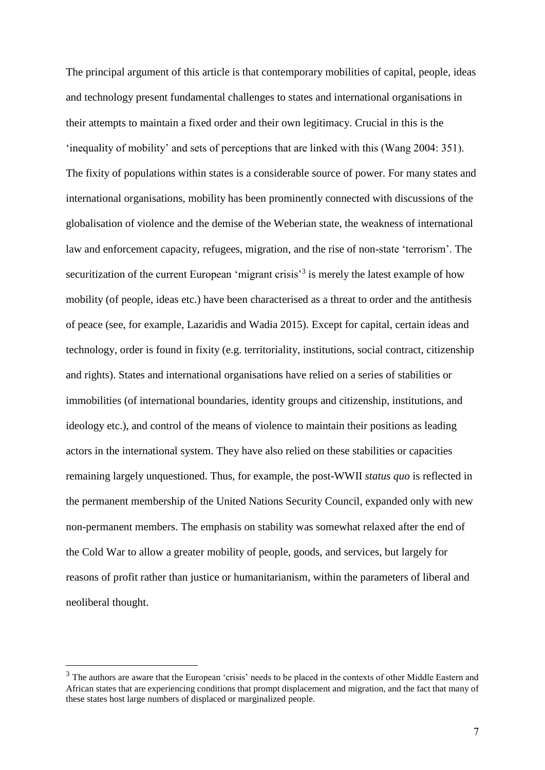The principal argument of this article is that contemporary mobilities of capital, people, ideas and technology present fundamental challenges to states and international organisations in their attempts to maintain a fixed order and their own legitimacy. Crucial in this is the 'inequality of mobility' and sets of perceptions that are linked with this (Wang 2004: 351). The fixity of populations within states is a considerable source of power. For many states and international organisations, mobility has been prominently connected with discussions of the globalisation of violence and the demise of the Weberian state, the weakness of international law and enforcement capacity, refugees, migration, and the rise of non-state 'terrorism'. The securitization of the current European 'migrant crisis'<sup>3</sup> is merely the latest example of how mobility (of people, ideas etc.) have been characterised as a threat to order and the antithesis of peace (see, for example, Lazaridis and Wadia 2015). Except for capital, certain ideas and technology, order is found in fixity (e.g. territoriality, institutions, social contract, citizenship and rights). States and international organisations have relied on a series of stabilities or immobilities (of international boundaries, identity groups and citizenship, institutions, and ideology etc.), and control of the means of violence to maintain their positions as leading actors in the international system. They have also relied on these stabilities or capacities remaining largely unquestioned. Thus, for example, the post-WWII *status quo* is reflected in the permanent membership of the United Nations Security Council, expanded only with new non-permanent members. The emphasis on stability was somewhat relaxed after the end of the Cold War to allow a greater mobility of people, goods, and services, but largely for reasons of profit rather than justice or humanitarianism, within the parameters of liberal and neoliberal thought.

 $3$  The authors are aware that the European 'crisis' needs to be placed in the contexts of other Middle Eastern and African states that are experiencing conditions that prompt displacement and migration, and the fact that many of these states host large numbers of displaced or marginalized people.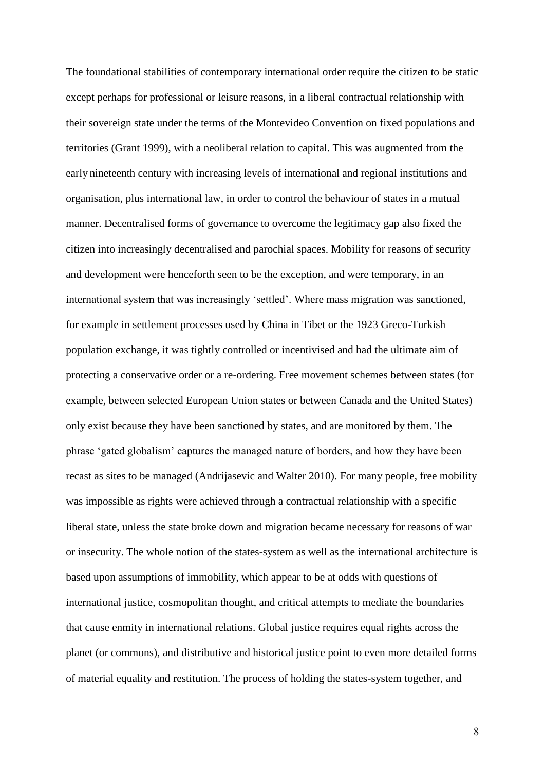The foundational stabilities of contemporary international order require the citizen to be static except perhaps for professional or leisure reasons, in a liberal contractual relationship with their sovereign state under the terms of the Montevideo Convention on fixed populations and territories (Grant 1999), with a neoliberal relation to capital. This was augmented from the early nineteenth century with increasing levels of international and regional institutions and organisation, plus international law, in order to control the behaviour of states in a mutual manner. Decentralised forms of governance to overcome the legitimacy gap also fixed the citizen into increasingly decentralised and parochial spaces. Mobility for reasons of security and development were henceforth seen to be the exception, and were temporary, in an international system that was increasingly 'settled'. Where mass migration was sanctioned, for example in settlement processes used by China in Tibet or the 1923 Greco-Turkish population exchange, it was tightly controlled or incentivised and had the ultimate aim of protecting a conservative order or a re-ordering. Free movement schemes between states (for example, between selected European Union states or between Canada and the United States) only exist because they have been sanctioned by states, and are monitored by them. The phrase 'gated globalism' captures the managed nature of borders, and how they have been recast as sites to be managed (Andrijasevic and Walter 2010). For many people, free mobility was impossible as rights were achieved through a contractual relationship with a specific liberal state, unless the state broke down and migration became necessary for reasons of war or insecurity. The whole notion of the states-system as well as the international architecture is based upon assumptions of immobility, which appear to be at odds with questions of international justice, cosmopolitan thought, and critical attempts to mediate the boundaries that cause enmity in international relations. Global justice requires equal rights across the planet (or commons), and distributive and historical justice point to even more detailed forms of material equality and restitution. The process of holding the states-system together, and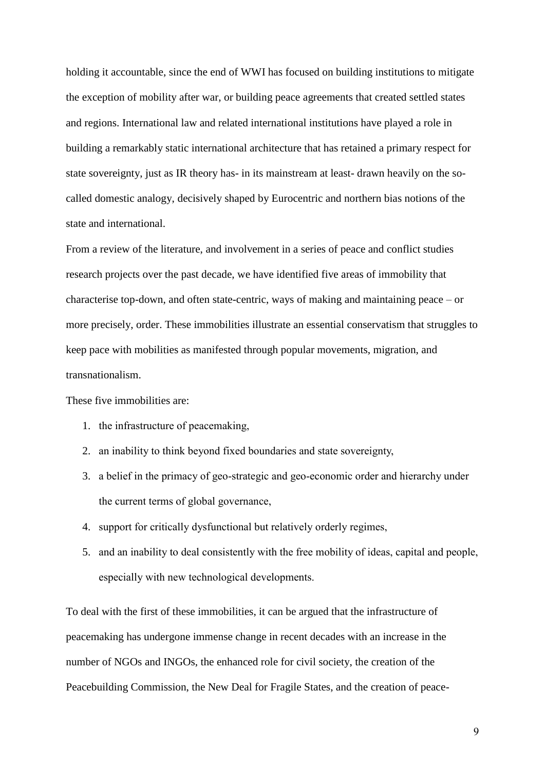holding it accountable, since the end of WWI has focused on building institutions to mitigate the exception of mobility after war, or building peace agreements that created settled states and regions. International law and related international institutions have played a role in building a remarkably static international architecture that has retained a primary respect for state sovereignty, just as IR theory has- in its mainstream at least- drawn heavily on the socalled domestic analogy, decisively shaped by Eurocentric and northern bias notions of the state and international.

From a review of the literature, and involvement in a series of peace and conflict studies research projects over the past decade, we have identified five areas of immobility that characterise top-down, and often state-centric, ways of making and maintaining peace – or more precisely, order. These immobilities illustrate an essential conservatism that struggles to keep pace with mobilities as manifested through popular movements, migration, and transnationalism.

These five immobilities are:

- 1. the infrastructure of peacemaking,
- 2. an inability to think beyond fixed boundaries and state sovereignty,
- 3. a belief in the primacy of geo-strategic and geo-economic order and hierarchy under the current terms of global governance,
- 4. support for critically dysfunctional but relatively orderly regimes,
- 5. and an inability to deal consistently with the free mobility of ideas, capital and people, especially with new technological developments.

To deal with the first of these immobilities, it can be argued that the infrastructure of peacemaking has undergone immense change in recent decades with an increase in the number of NGOs and INGOs, the enhanced role for civil society, the creation of the Peacebuilding Commission, the New Deal for Fragile States, and the creation of peace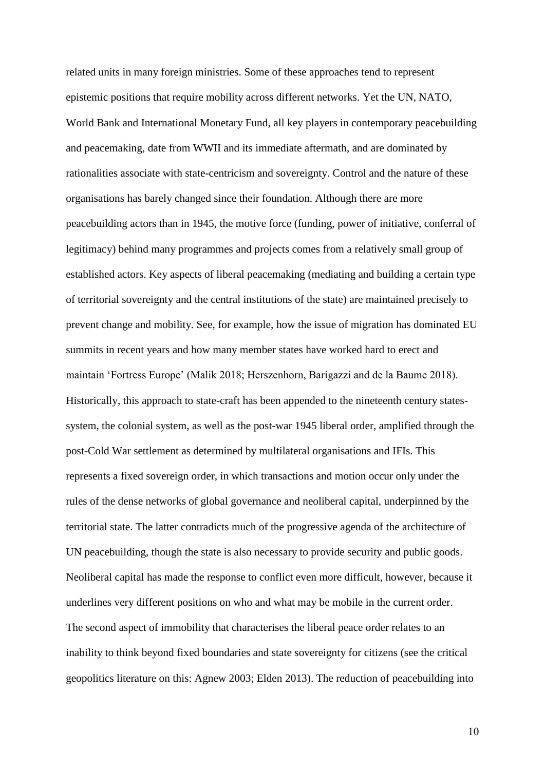related units in many foreign ministries. Some of these approaches tend to represent epistemic positions that require mobility across different networks. Yet the UN, NATO, World Bank and International Monetary Fund, all key players in contemporary peacebuilding and peacemaking, date from WWII and its immediate aftermath, and are dominated by rationalities associate with state-centricism and sovereignty. Control and the nature of these organisations has barely changed since their foundation. Although there are more peacebuilding actors than in 1945, the motive force (funding, power of initiative, conferral of legitimacy) behind many programmes and projects comes from a relatively small group of established actors. Key aspects of liberal peacemaking (mediating and building a certain type of territorial sovereignty and the central institutions of the state) are maintained precisely to prevent change and mobility. See, for example, how the issue of migration has dominated EU summits in recent years and how many member states have worked hard to erect and maintain 'Fortress Europe' (Malik 2018; Herszenhorn, Barigazzi and de la Baume 2018). Historically, this approach to state-craft has been appended to the nineteenth century statessystem, the colonial system, as well as the post-war 1945 liberal order, amplified through the post-Cold War settlement as determined by multilateral organisations and IFIs. This represents a fixed sovereign order, in which transactions and motion occur only under the rules of the dense networks of global governance and neoliberal capital, underpinned by the territorial state. The latter contradicts much of the progressive agenda of the architecture of UN peacebuilding, though the state is also necessary to provide security and public goods. Neoliberal capital has made the response to conflict even more difficult, however, because it underlines very different positions on who and what may be mobile in the current order. The second aspect of immobility that characterises the liberal peace order relates to an inability to think beyond fixed boundaries and state sovereignty for citizens (see the critical geopolitics literature on this: Agnew 2003; Elden 2013). The reduction of peacebuilding into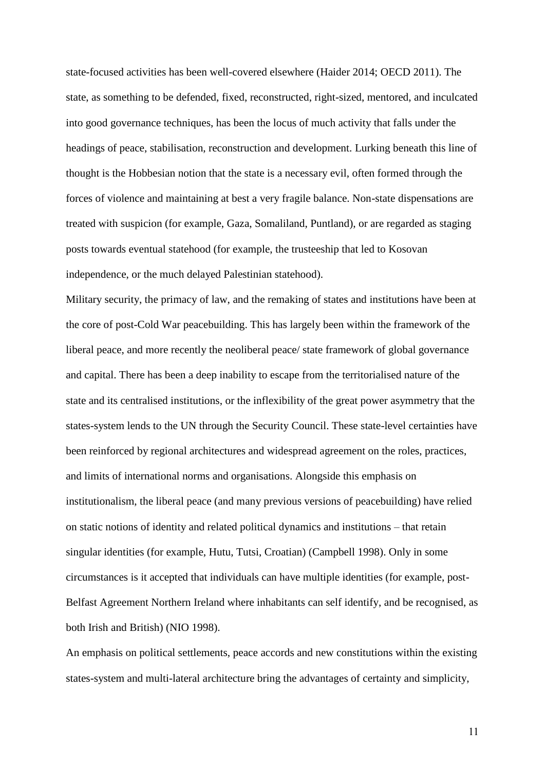state-focused activities has been well-covered elsewhere (Haider 2014; OECD 2011). The state, as something to be defended, fixed, reconstructed, right-sized, mentored, and inculcated into good governance techniques, has been the locus of much activity that falls under the headings of peace, stabilisation, reconstruction and development. Lurking beneath this line of thought is the Hobbesian notion that the state is a necessary evil, often formed through the forces of violence and maintaining at best a very fragile balance. Non-state dispensations are treated with suspicion (for example, Gaza, Somaliland, Puntland), or are regarded as staging posts towards eventual statehood (for example, the trusteeship that led to Kosovan independence, or the much delayed Palestinian statehood).

Military security, the primacy of law, and the remaking of states and institutions have been at the core of post-Cold War peacebuilding. This has largely been within the framework of the liberal peace, and more recently the neoliberal peace/ state framework of global governance and capital. There has been a deep inability to escape from the territorialised nature of the state and its centralised institutions, or the inflexibility of the great power asymmetry that the states-system lends to the UN through the Security Council. These state-level certainties have been reinforced by regional architectures and widespread agreement on the roles, practices, and limits of international norms and organisations. Alongside this emphasis on institutionalism, the liberal peace (and many previous versions of peacebuilding) have relied on static notions of identity and related political dynamics and institutions – that retain singular identities (for example, Hutu, Tutsi, Croatian) (Campbell 1998). Only in some circumstances is it accepted that individuals can have multiple identities (for example, post-Belfast Agreement Northern Ireland where inhabitants can self identify, and be recognised, as both Irish and British) (NIO 1998).

An emphasis on political settlements, peace accords and new constitutions within the existing states-system and multi-lateral architecture bring the advantages of certainty and simplicity,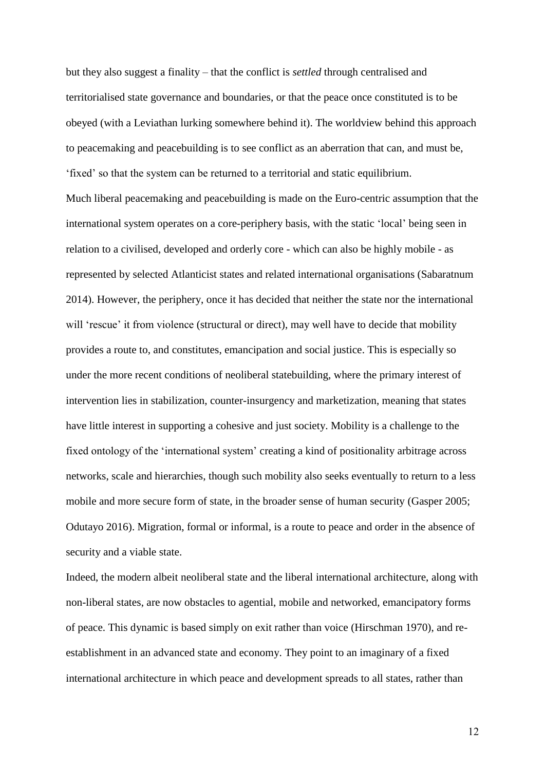but they also suggest a finality – that the conflict is *settled* through centralised and territorialised state governance and boundaries, or that the peace once constituted is to be obeyed (with a Leviathan lurking somewhere behind it). The worldview behind this approach to peacemaking and peacebuilding is to see conflict as an aberration that can, and must be, 'fixed' so that the system can be returned to a territorial and static equilibrium. Much liberal peacemaking and peacebuilding is made on the Euro-centric assumption that the international system operates on a core-periphery basis, with the static 'local' being seen in relation to a civilised, developed and orderly core - which can also be highly mobile - as represented by selected Atlanticist states and related international organisations (Sabaratnum 2014). However, the periphery, once it has decided that neither the state nor the international will 'rescue' it from violence (structural or direct), may well have to decide that mobility provides a route to, and constitutes, emancipation and social justice. This is especially so under the more recent conditions of neoliberal statebuilding, where the primary interest of intervention lies in stabilization, counter-insurgency and marketization, meaning that states have little interest in supporting a cohesive and just society. Mobility is a challenge to the fixed ontology of the 'international system' creating a kind of positionality arbitrage across networks, scale and hierarchies, though such mobility also seeks eventually to return to a less mobile and more secure form of state, in the broader sense of human security (Gasper 2005; Odutayo 2016). Migration, formal or informal, is a route to peace and order in the absence of security and a viable state.

Indeed, the modern albeit neoliberal state and the liberal international architecture, along with non-liberal states, are now obstacles to agential, mobile and networked, emancipatory forms of peace. This dynamic is based simply on exit rather than voice (Hirschman 1970), and reestablishment in an advanced state and economy. They point to an imaginary of a fixed international architecture in which peace and development spreads to all states, rather than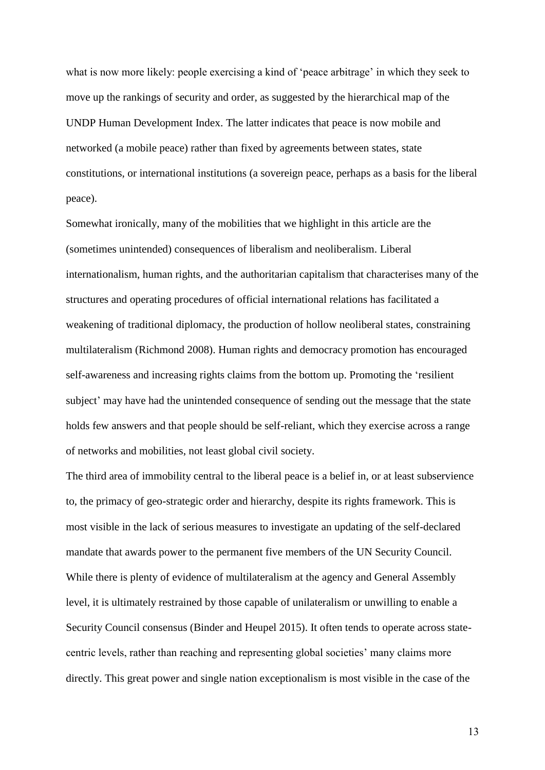what is now more likely: people exercising a kind of 'peace arbitrage' in which they seek to move up the rankings of security and order, as suggested by the hierarchical map of the UNDP Human Development Index. The latter indicates that peace is now mobile and networked (a mobile peace) rather than fixed by agreements between states, state constitutions, or international institutions (a sovereign peace, perhaps as a basis for the liberal peace).

Somewhat ironically, many of the mobilities that we highlight in this article are the (sometimes unintended) consequences of liberalism and neoliberalism. Liberal internationalism, human rights, and the authoritarian capitalism that characterises many of the structures and operating procedures of official international relations has facilitated a weakening of traditional diplomacy, the production of hollow neoliberal states, constraining multilateralism (Richmond 2008). Human rights and democracy promotion has encouraged self-awareness and increasing rights claims from the bottom up. Promoting the 'resilient subject' may have had the unintended consequence of sending out the message that the state holds few answers and that people should be self-reliant, which they exercise across a range of networks and mobilities, not least global civil society.

The third area of immobility central to the liberal peace is a belief in, or at least subservience to, the primacy of geo-strategic order and hierarchy, despite its rights framework. This is most visible in the lack of serious measures to investigate an updating of the self-declared mandate that awards power to the permanent five members of the UN Security Council. While there is plenty of evidence of multilateralism at the agency and General Assembly level, it is ultimately restrained by those capable of unilateralism or unwilling to enable a Security Council consensus (Binder and Heupel 2015). It often tends to operate across statecentric levels, rather than reaching and representing global societies' many claims more directly. This great power and single nation exceptionalism is most visible in the case of the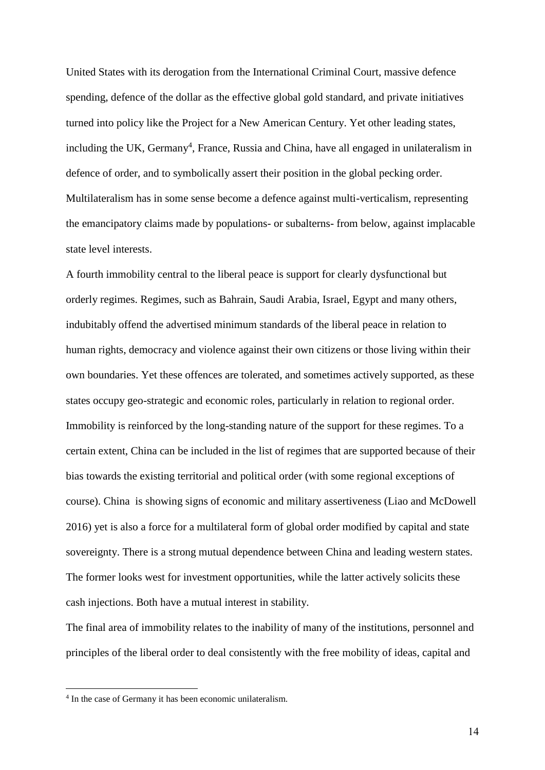United States with its derogation from the International Criminal Court, massive defence spending, defence of the dollar as the effective global gold standard, and private initiatives turned into policy like the Project for a New American Century. Yet other leading states, including the UK, Germany<sup>4</sup>, France, Russia and China, have all engaged in unilateralism in defence of order, and to symbolically assert their position in the global pecking order. Multilateralism has in some sense become a defence against multi-verticalism, representing the emancipatory claims made by populations- or subalterns- from below, against implacable state level interests.

A fourth immobility central to the liberal peace is support for clearly dysfunctional but orderly regimes. Regimes, such as Bahrain, Saudi Arabia, Israel, Egypt and many others, indubitably offend the advertised minimum standards of the liberal peace in relation to human rights, democracy and violence against their own citizens or those living within their own boundaries. Yet these offences are tolerated, and sometimes actively supported, as these states occupy geo-strategic and economic roles, particularly in relation to regional order. Immobility is reinforced by the long-standing nature of the support for these regimes. To a certain extent, China can be included in the list of regimes that are supported because of their bias towards the existing territorial and political order (with some regional exceptions of course). China is showing signs of economic and military assertiveness (Liao and McDowell 2016) yet is also a force for a multilateral form of global order modified by capital and state sovereignty. There is a strong mutual dependence between China and leading western states. The former looks west for investment opportunities, while the latter actively solicits these cash injections. Both have a mutual interest in stability.

The final area of immobility relates to the inability of many of the institutions, personnel and principles of the liberal order to deal consistently with the free mobility of ideas, capital and

<u>.</u>

<sup>&</sup>lt;sup>4</sup> In the case of Germany it has been economic unilateralism.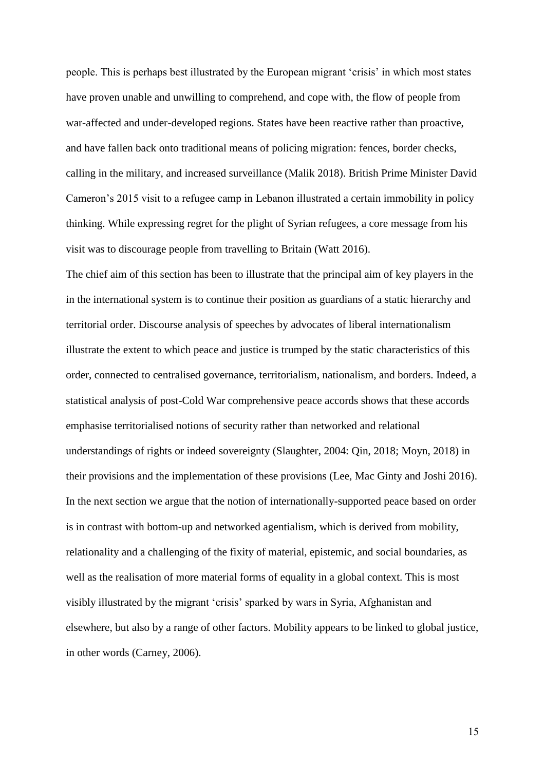people. This is perhaps best illustrated by the European migrant 'crisis' in which most states have proven unable and unwilling to comprehend, and cope with, the flow of people from war-affected and under-developed regions. States have been reactive rather than proactive, and have fallen back onto traditional means of policing migration: fences, border checks, calling in the military, and increased surveillance (Malik 2018). British Prime Minister David Cameron's 2015 visit to a refugee camp in Lebanon illustrated a certain immobility in policy thinking. While expressing regret for the plight of Syrian refugees, a core message from his visit was to discourage people from travelling to Britain (Watt 2016).

The chief aim of this section has been to illustrate that the principal aim of key players in the in the international system is to continue their position as guardians of a static hierarchy and territorial order. Discourse analysis of speeches by advocates of liberal internationalism illustrate the extent to which peace and justice is trumped by the static characteristics of this order, connected to centralised governance, territorialism, nationalism, and borders. Indeed, a statistical analysis of post-Cold War comprehensive peace accords shows that these accords emphasise territorialised notions of security rather than networked and relational understandings of rights or indeed sovereignty (Slaughter, 2004: Qin, 2018; Moyn, 2018) in their provisions and the implementation of these provisions (Lee, Mac Ginty and Joshi 2016). In the next section we argue that the notion of internationally-supported peace based on order is in contrast with bottom-up and networked agentialism, which is derived from mobility, relationality and a challenging of the fixity of material, epistemic, and social boundaries, as well as the realisation of more material forms of equality in a global context. This is most visibly illustrated by the migrant 'crisis' sparked by wars in Syria, Afghanistan and elsewhere, but also by a range of other factors. Mobility appears to be linked to global justice, in other words (Carney, 2006).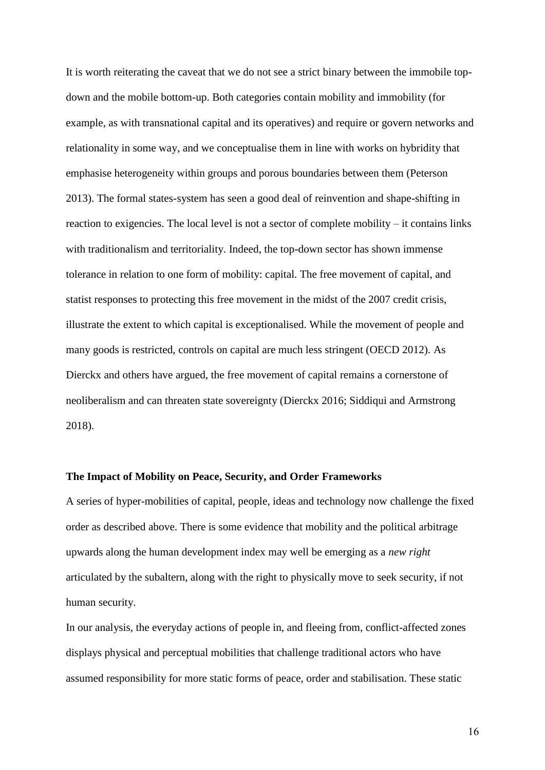It is worth reiterating the caveat that we do not see a strict binary between the immobile topdown and the mobile bottom-up. Both categories contain mobility and immobility (for example, as with transnational capital and its operatives) and require or govern networks and relationality in some way, and we conceptualise them in line with works on hybridity that emphasise heterogeneity within groups and porous boundaries between them (Peterson 2013). The formal states-system has seen a good deal of reinvention and shape-shifting in reaction to exigencies. The local level is not a sector of complete mobility – it contains links with traditionalism and territoriality. Indeed, the top-down sector has shown immense tolerance in relation to one form of mobility: capital. The free movement of capital, and statist responses to protecting this free movement in the midst of the 2007 credit crisis, illustrate the extent to which capital is exceptionalised. While the movement of people and many goods is restricted, controls on capital are much less stringent (OECD 2012). As Dierckx and others have argued, the free movement of capital remains a cornerstone of neoliberalism and can threaten state sovereignty (Dierckx 2016; Siddiqui and Armstrong 2018).

### **The Impact of Mobility on Peace, Security, and Order Frameworks**

A series of hyper-mobilities of capital, people, ideas and technology now challenge the fixed order as described above. There is some evidence that mobility and the political arbitrage upwards along the human development index may well be emerging as a *new right* articulated by the subaltern, along with the right to physically move to seek security, if not human security.

In our analysis, the everyday actions of people in, and fleeing from, conflict-affected zones displays physical and perceptual mobilities that challenge traditional actors who have assumed responsibility for more static forms of peace, order and stabilisation. These static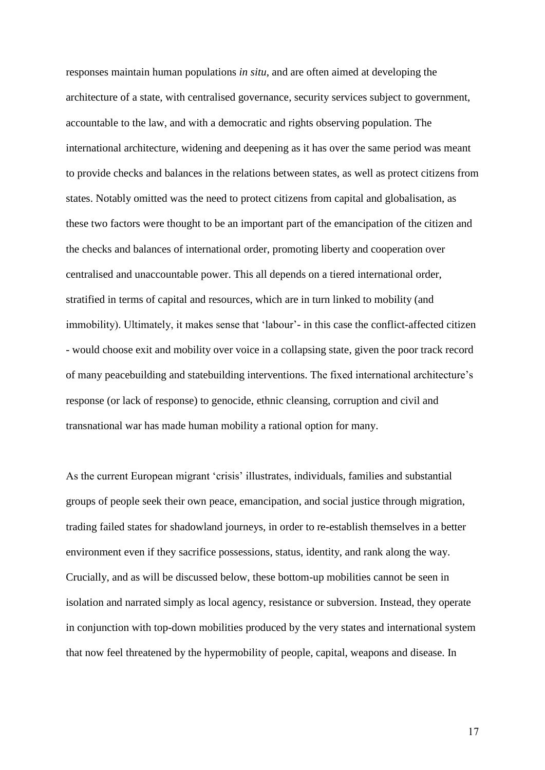responses maintain human populations *in situ*, and are often aimed at developing the architecture of a state, with centralised governance, security services subject to government, accountable to the law, and with a democratic and rights observing population. The international architecture, widening and deepening as it has over the same period was meant to provide checks and balances in the relations between states, as well as protect citizens from states. Notably omitted was the need to protect citizens from capital and globalisation, as these two factors were thought to be an important part of the emancipation of the citizen and the checks and balances of international order, promoting liberty and cooperation over centralised and unaccountable power. This all depends on a tiered international order, stratified in terms of capital and resources, which are in turn linked to mobility (and immobility). Ultimately, it makes sense that 'labour'- in this case the conflict-affected citizen - would choose exit and mobility over voice in a collapsing state, given the poor track record of many peacebuilding and statebuilding interventions. The fixed international architecture's response (or lack of response) to genocide, ethnic cleansing, corruption and civil and transnational war has made human mobility a rational option for many.

As the current European migrant 'crisis' illustrates, individuals, families and substantial groups of people seek their own peace, emancipation, and social justice through migration, trading failed states for shadowland journeys, in order to re-establish themselves in a better environment even if they sacrifice possessions, status, identity, and rank along the way. Crucially, and as will be discussed below, these bottom-up mobilities cannot be seen in isolation and narrated simply as local agency, resistance or subversion. Instead, they operate in conjunction with top-down mobilities produced by the very states and international system that now feel threatened by the hypermobility of people, capital, weapons and disease. In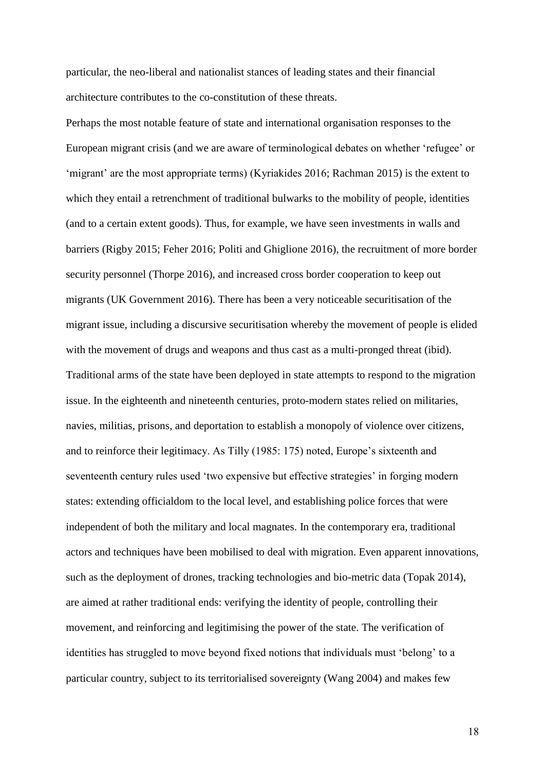particular, the neo-liberal and nationalist stances of leading states and their financial architecture contributes to the co-constitution of these threats.

Perhaps the most notable feature of state and international organisation responses to the European migrant crisis (and we are aware of terminological debates on whether 'refugee' or 'migrant' are the most appropriate terms) (Kyriakides 2016; Rachman 2015) is the extent to which they entail a retrenchment of traditional bulwarks to the mobility of people, identities (and to a certain extent goods). Thus, for example, we have seen investments in walls and barriers (Rigby 2015; Feher 2016; Politi and Ghiglione 2016), the recruitment of more border security personnel (Thorpe 2016), and increased cross border cooperation to keep out migrants (UK Government 2016). There has been a very noticeable securitisation of the migrant issue, including a discursive securitisation whereby the movement of people is elided with the movement of drugs and weapons and thus cast as a multi-pronged threat (ibid). Traditional arms of the state have been deployed in state attempts to respond to the migration issue. In the eighteenth and nineteenth centuries, proto-modern states relied on militaries, navies, militias, prisons, and deportation to establish a monopoly of violence over citizens, and to reinforce their legitimacy. As Tilly (1985: 175) noted, Europe's sixteenth and seventeenth century rules used 'two expensive but effective strategies' in forging modern states: extending officialdom to the local level, and establishing police forces that were independent of both the military and local magnates. In the contemporary era, traditional actors and techniques have been mobilised to deal with migration. Even apparent innovations, such as the deployment of drones, tracking technologies and bio-metric data (Topak 2014), are aimed at rather traditional ends: verifying the identity of people, controlling their movement, and reinforcing and legitimising the power of the state. The verification of identities has struggled to move beyond fixed notions that individuals must 'belong' to a particular country, subject to its territorialised sovereignty (Wang 2004) and makes few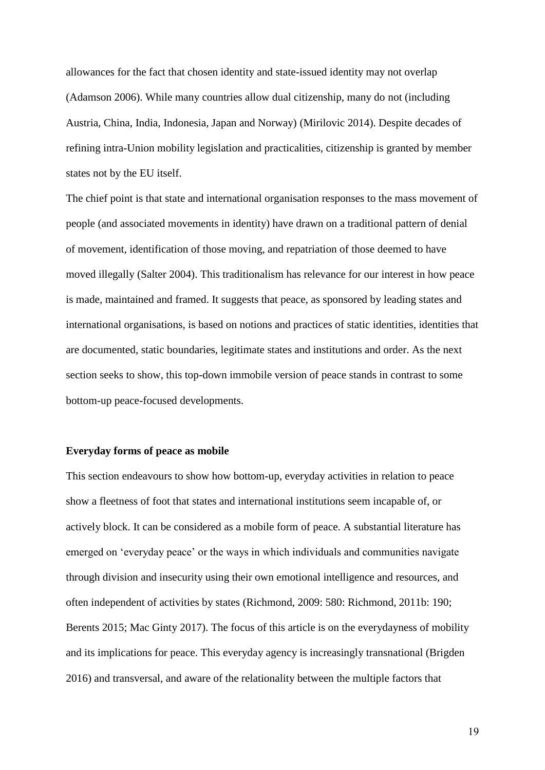allowances for the fact that chosen identity and state-issued identity may not overlap (Adamson 2006). While many countries allow dual citizenship, many do not (including Austria, China, India, Indonesia, Japan and Norway) (Mirilovic 2014). Despite decades of refining intra-Union mobility legislation and practicalities, citizenship is granted by member states not by the EU itself.

The chief point is that state and international organisation responses to the mass movement of people (and associated movements in identity) have drawn on a traditional pattern of denial of movement, identification of those moving, and repatriation of those deemed to have moved illegally (Salter 2004). This traditionalism has relevance for our interest in how peace is made, maintained and framed. It suggests that peace, as sponsored by leading states and international organisations, is based on notions and practices of static identities, identities that are documented, static boundaries, legitimate states and institutions and order. As the next section seeks to show, this top-down immobile version of peace stands in contrast to some bottom-up peace-focused developments.

#### **Everyday forms of peace as mobile**

This section endeavours to show how bottom-up, everyday activities in relation to peace show a fleetness of foot that states and international institutions seem incapable of, or actively block. It can be considered as a mobile form of peace. A substantial literature has emerged on 'everyday peace' or the ways in which individuals and communities navigate through division and insecurity using their own emotional intelligence and resources, and often independent of activities by states (Richmond, 2009: 580: Richmond, 2011b: 190; Berents 2015; Mac Ginty 2017). The focus of this article is on the everydayness of mobility and its implications for peace. This everyday agency is increasingly transnational (Brigden 2016) and transversal, and aware of the relationality between the multiple factors that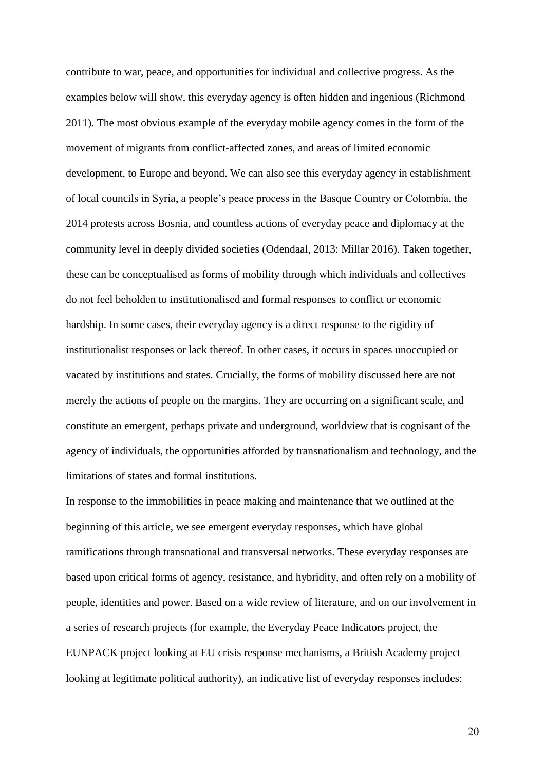contribute to war, peace, and opportunities for individual and collective progress. As the examples below will show, this everyday agency is often hidden and ingenious (Richmond 2011). The most obvious example of the everyday mobile agency comes in the form of the movement of migrants from conflict-affected zones, and areas of limited economic development, to Europe and beyond. We can also see this everyday agency in establishment of local councils in Syria, a people's peace process in the Basque Country or Colombia, the 2014 protests across Bosnia, and countless actions of everyday peace and diplomacy at the community level in deeply divided societies (Odendaal, 2013: Millar 2016). Taken together, these can be conceptualised as forms of mobility through which individuals and collectives do not feel beholden to institutionalised and formal responses to conflict or economic hardship. In some cases, their everyday agency is a direct response to the rigidity of institutionalist responses or lack thereof. In other cases, it occurs in spaces unoccupied or vacated by institutions and states. Crucially, the forms of mobility discussed here are not merely the actions of people on the margins. They are occurring on a significant scale, and constitute an emergent, perhaps private and underground, worldview that is cognisant of the agency of individuals, the opportunities afforded by transnationalism and technology, and the limitations of states and formal institutions.

In response to the immobilities in peace making and maintenance that we outlined at the beginning of this article, we see emergent everyday responses, which have global ramifications through transnational and transversal networks. These everyday responses are based upon critical forms of agency, resistance, and hybridity, and often rely on a mobility of people, identities and power. Based on a wide review of literature, and on our involvement in a series of research projects (for example, the Everyday Peace Indicators project, the EUNPACK project looking at EU crisis response mechanisms, a British Academy project looking at legitimate political authority), an indicative list of everyday responses includes: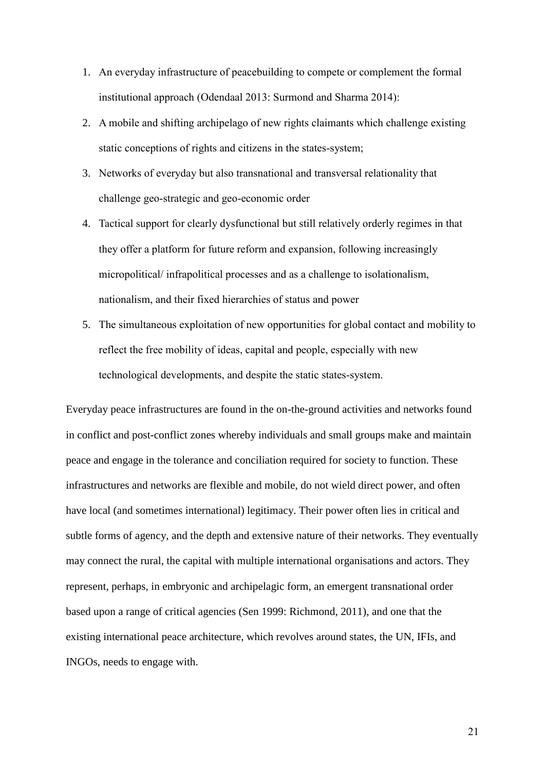- 1. An everyday infrastructure of peacebuilding to compete or complement the formal institutional approach (Odendaal 2013: Surmond and Sharma 2014):
- 2. A mobile and shifting archipelago of new rights claimants which challenge existing static conceptions of rights and citizens in the states-system;
- 3. Networks of everyday but also transnational and transversal relationality that challenge geo-strategic and geo-economic order
- 4. Tactical support for clearly dysfunctional but still relatively orderly regimes in that they offer a platform for future reform and expansion, following increasingly micropolitical/ infrapolitical processes and as a challenge to isolationalism, nationalism, and their fixed hierarchies of status and power
- 5. The simultaneous exploitation of new opportunities for global contact and mobility to reflect the free mobility of ideas, capital and people, especially with new technological developments, and despite the static states-system.

Everyday peace infrastructures are found in the on-the-ground activities and networks found in conflict and post-conflict zones whereby individuals and small groups make and maintain peace and engage in the tolerance and conciliation required for society to function. These infrastructures and networks are flexible and mobile, do not wield direct power, and often have local (and sometimes international) legitimacy. Their power often lies in critical and subtle forms of agency, and the depth and extensive nature of their networks. They eventually may connect the rural, the capital with multiple international organisations and actors. They represent, perhaps, in embryonic and archipelagic form, an emergent transnational order based upon a range of critical agencies (Sen 1999: Richmond, 2011), and one that the existing international peace architecture, which revolves around states, the UN, IFIs, and INGOs, needs to engage with.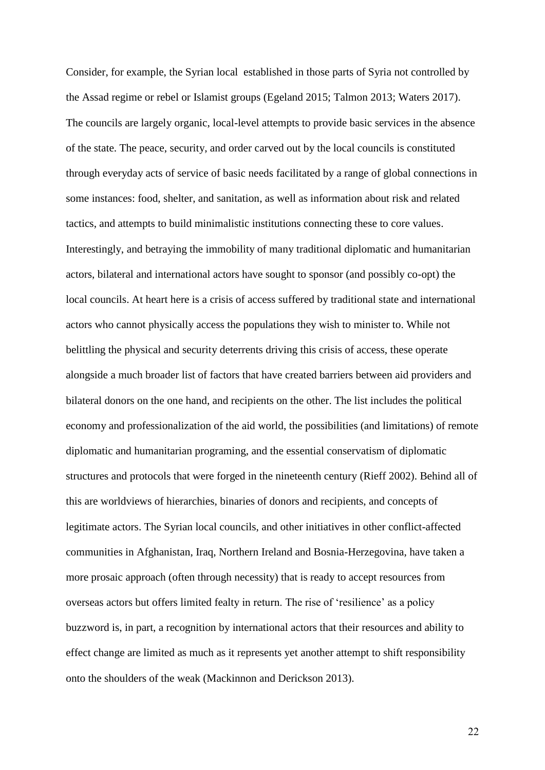Consider, for example, the Syrian local established in those parts of Syria not controlled by the Assad regime or rebel or Islamist groups (Egeland 2015; Talmon 2013; Waters 2017). The councils are largely organic, local-level attempts to provide basic services in the absence of the state. The peace, security, and order carved out by the local councils is constituted through everyday acts of service of basic needs facilitated by a range of global connections in some instances: food, shelter, and sanitation, as well as information about risk and related tactics, and attempts to build minimalistic institutions connecting these to core values. Interestingly, and betraying the immobility of many traditional diplomatic and humanitarian actors, bilateral and international actors have sought to sponsor (and possibly co-opt) the local councils. At heart here is a crisis of access suffered by traditional state and international actors who cannot physically access the populations they wish to minister to. While not belittling the physical and security deterrents driving this crisis of access, these operate alongside a much broader list of factors that have created barriers between aid providers and bilateral donors on the one hand, and recipients on the other. The list includes the political economy and professionalization of the aid world, the possibilities (and limitations) of remote diplomatic and humanitarian programing, and the essential conservatism of diplomatic structures and protocols that were forged in the nineteenth century (Rieff 2002). Behind all of this are worldviews of hierarchies, binaries of donors and recipients, and concepts of legitimate actors. The Syrian local councils, and other initiatives in other conflict-affected communities in Afghanistan, Iraq, Northern Ireland and Bosnia-Herzegovina, have taken a more prosaic approach (often through necessity) that is ready to accept resources from overseas actors but offers limited fealty in return. The rise of 'resilience' as a policy buzzword is, in part, a recognition by international actors that their resources and ability to effect change are limited as much as it represents yet another attempt to shift responsibility onto the shoulders of the weak (Mackinnon and Derickson 2013).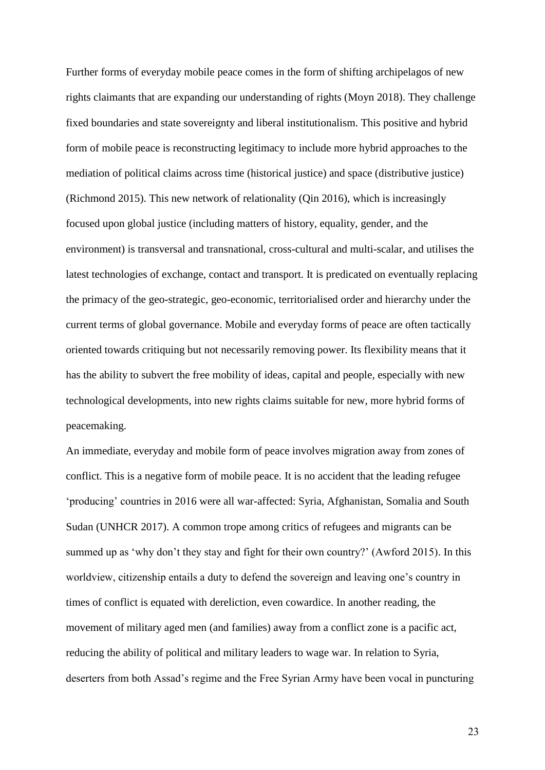Further forms of everyday mobile peace comes in the form of shifting archipelagos of new rights claimants that are expanding our understanding of rights (Moyn 2018). They challenge fixed boundaries and state sovereignty and liberal institutionalism. This positive and hybrid form of mobile peace is reconstructing legitimacy to include more hybrid approaches to the mediation of political claims across time (historical justice) and space (distributive justice) (Richmond 2015). This new network of relationality (Qin 2016), which is increasingly focused upon global justice (including matters of history, equality, gender, and the environment) is transversal and transnational, cross-cultural and multi-scalar, and utilises the latest technologies of exchange, contact and transport. It is predicated on eventually replacing the primacy of the geo-strategic, geo-economic, territorialised order and hierarchy under the current terms of global governance. Mobile and everyday forms of peace are often tactically oriented towards critiquing but not necessarily removing power. Its flexibility means that it has the ability to subvert the free mobility of ideas, capital and people, especially with new technological developments, into new rights claims suitable for new, more hybrid forms of peacemaking.

An immediate, everyday and mobile form of peace involves migration away from zones of conflict. This is a negative form of mobile peace. It is no accident that the leading refugee 'producing' countries in 2016 were all war-affected: Syria, Afghanistan, Somalia and South Sudan (UNHCR 2017). A common trope among critics of refugees and migrants can be summed up as 'why don't they stay and fight for their own country?' (Awford 2015). In this worldview, citizenship entails a duty to defend the sovereign and leaving one's country in times of conflict is equated with dereliction, even cowardice. In another reading, the movement of military aged men (and families) away from a conflict zone is a pacific act, reducing the ability of political and military leaders to wage war. In relation to Syria, deserters from both Assad's regime and the Free Syrian Army have been vocal in puncturing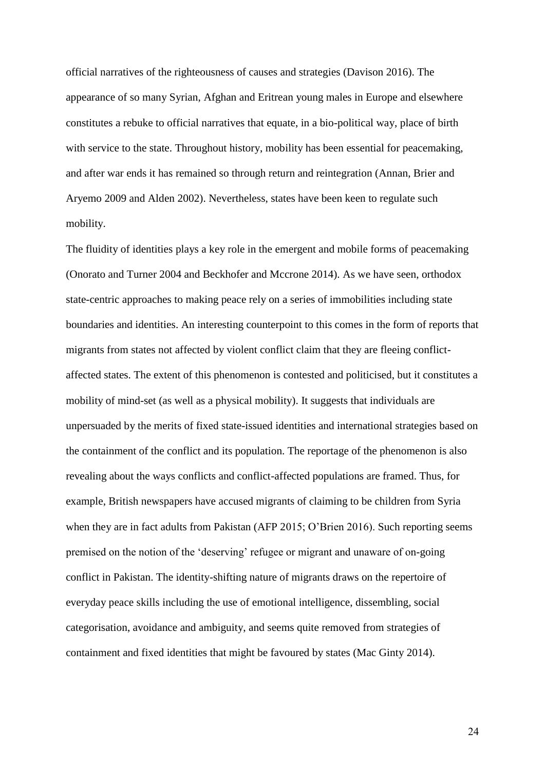official narratives of the righteousness of causes and strategies (Davison 2016). The appearance of so many Syrian, Afghan and Eritrean young males in Europe and elsewhere constitutes a rebuke to official narratives that equate, in a bio-political way, place of birth with service to the state. Throughout history, mobility has been essential for peacemaking, and after war ends it has remained so through return and reintegration (Annan, Brier and Aryemo 2009 and Alden 2002). Nevertheless, states have been keen to regulate such mobility.

The fluidity of identities plays a key role in the emergent and mobile forms of peacemaking (Onorato and Turner 2004 and Beckhofer and Mccrone 2014). As we have seen, orthodox state-centric approaches to making peace rely on a series of immobilities including state boundaries and identities. An interesting counterpoint to this comes in the form of reports that migrants from states not affected by violent conflict claim that they are fleeing conflictaffected states. The extent of this phenomenon is contested and politicised, but it constitutes a mobility of mind-set (as well as a physical mobility). It suggests that individuals are unpersuaded by the merits of fixed state-issued identities and international strategies based on the containment of the conflict and its population. The reportage of the phenomenon is also revealing about the ways conflicts and conflict-affected populations are framed. Thus, for example, British newspapers have accused migrants of claiming to be children from Syria when they are in fact adults from Pakistan (AFP 2015; O'Brien 2016). Such reporting seems premised on the notion of the 'deserving' refugee or migrant and unaware of on-going conflict in Pakistan. The identity-shifting nature of migrants draws on the repertoire of everyday peace skills including the use of emotional intelligence, dissembling, social categorisation, avoidance and ambiguity, and seems quite removed from strategies of containment and fixed identities that might be favoured by states (Mac Ginty 2014).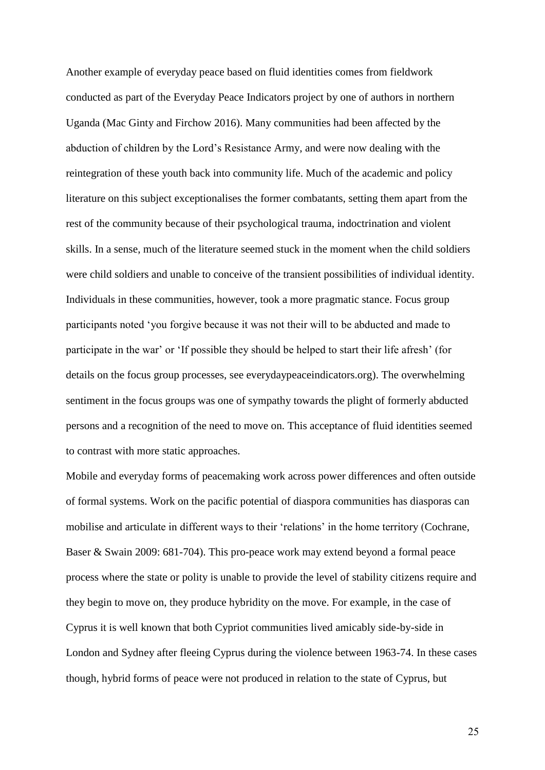Another example of everyday peace based on fluid identities comes from fieldwork conducted as part of the Everyday Peace Indicators project by one of authors in northern Uganda (Mac Ginty and Firchow 2016). Many communities had been affected by the abduction of children by the Lord's Resistance Army, and were now dealing with the reintegration of these youth back into community life. Much of the academic and policy literature on this subject exceptionalises the former combatants, setting them apart from the rest of the community because of their psychological trauma, indoctrination and violent skills. In a sense, much of the literature seemed stuck in the moment when the child soldiers were child soldiers and unable to conceive of the transient possibilities of individual identity. Individuals in these communities, however, took a more pragmatic stance. Focus group participants noted 'you forgive because it was not their will to be abducted and made to participate in the war' or 'If possible they should be helped to start their life afresh' (for details on the focus group processes, see everydaypeaceindicators.org). The overwhelming sentiment in the focus groups was one of sympathy towards the plight of formerly abducted persons and a recognition of the need to move on. This acceptance of fluid identities seemed to contrast with more static approaches.

Mobile and everyday forms of peacemaking work across power differences and often outside of formal systems. Work on the pacific potential of diaspora communities has diasporas can mobilise and articulate in different ways to their 'relations' in the home territory (Cochrane, Baser & Swain 2009: 681-704). This pro-peace work may extend beyond a formal peace process where the state or polity is unable to provide the level of stability citizens require and they begin to move on, they produce hybridity on the move. For example, in the case of Cyprus it is well known that both Cypriot communities lived amicably side-by-side in London and Sydney after fleeing Cyprus during the violence between 1963-74. In these cases though, hybrid forms of peace were not produced in relation to the state of Cyprus, but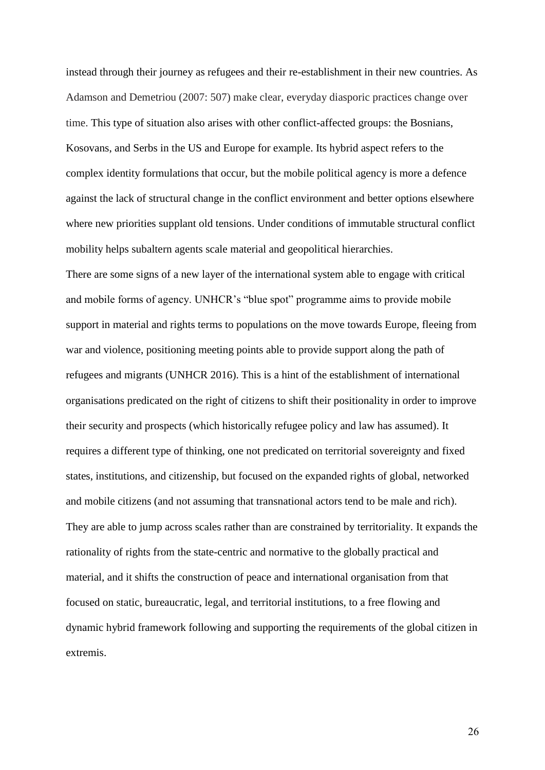instead through their journey as refugees and their re-establishment in their new countries. As Adamson and Demetriou (2007: 507) make clear, everyday diasporic practices change over time. This type of situation also arises with other conflict-affected groups: the Bosnians, Kosovans, and Serbs in the US and Europe for example. Its hybrid aspect refers to the complex identity formulations that occur, but the mobile political agency is more a defence against the lack of structural change in the conflict environment and better options elsewhere where new priorities supplant old tensions. Under conditions of immutable structural conflict mobility helps subaltern agents scale material and geopolitical hierarchies.

There are some signs of a new layer of the international system able to engage with critical and mobile forms of agency. UNHCR's "blue spot" programme aims to provide mobile support in material and rights terms to populations on the move towards Europe, fleeing from war and violence, positioning meeting points able to provide support along the path of refugees and migrants (UNHCR 2016). This is a hint of the establishment of international organisations predicated on the right of citizens to shift their positionality in order to improve their security and prospects (which historically refugee policy and law has assumed). It requires a different type of thinking, one not predicated on territorial sovereignty and fixed states, institutions, and citizenship, but focused on the expanded rights of global, networked and mobile citizens (and not assuming that transnational actors tend to be male and rich). They are able to jump across scales rather than are constrained by territoriality. It expands the rationality of rights from the state-centric and normative to the globally practical and material, and it shifts the construction of peace and international organisation from that focused on static, bureaucratic, legal, and territorial institutions, to a free flowing and dynamic hybrid framework following and supporting the requirements of the global citizen in extremis.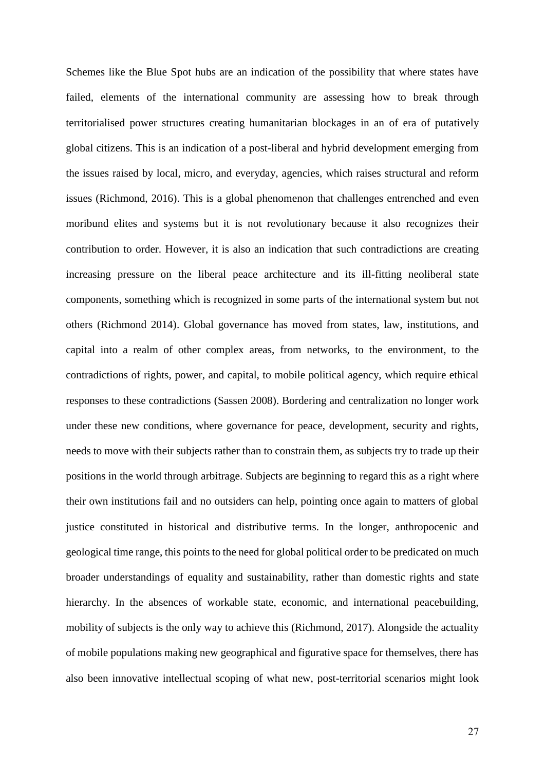Schemes like the Blue Spot hubs are an indication of the possibility that where states have failed, elements of the international community are assessing how to break through territorialised power structures creating humanitarian blockages in an of era of putatively global citizens. This is an indication of a post-liberal and hybrid development emerging from the issues raised by local, micro, and everyday, agencies, which raises structural and reform issues (Richmond, 2016). This is a global phenomenon that challenges entrenched and even moribund elites and systems but it is not revolutionary because it also recognizes their contribution to order. However, it is also an indication that such contradictions are creating increasing pressure on the liberal peace architecture and its ill-fitting neoliberal state components, something which is recognized in some parts of the international system but not others (Richmond 2014). Global governance has moved from states, law, institutions, and capital into a realm of other complex areas, from networks, to the environment, to the contradictions of rights, power, and capital, to mobile political agency, which require ethical responses to these contradictions (Sassen 2008). Bordering and centralization no longer work under these new conditions, where governance for peace, development, security and rights, needs to move with their subjects rather than to constrain them, as subjects try to trade up their positions in the world through arbitrage. Subjects are beginning to regard this as a right where their own institutions fail and no outsiders can help, pointing once again to matters of global justice constituted in historical and distributive terms. In the longer, anthropocenic and geological time range, this points to the need for global political order to be predicated on much broader understandings of equality and sustainability, rather than domestic rights and state hierarchy. In the absences of workable state, economic, and international peacebuilding, mobility of subjects is the only way to achieve this (Richmond, 2017). Alongside the actuality of mobile populations making new geographical and figurative space for themselves, there has also been innovative intellectual scoping of what new, post-territorial scenarios might look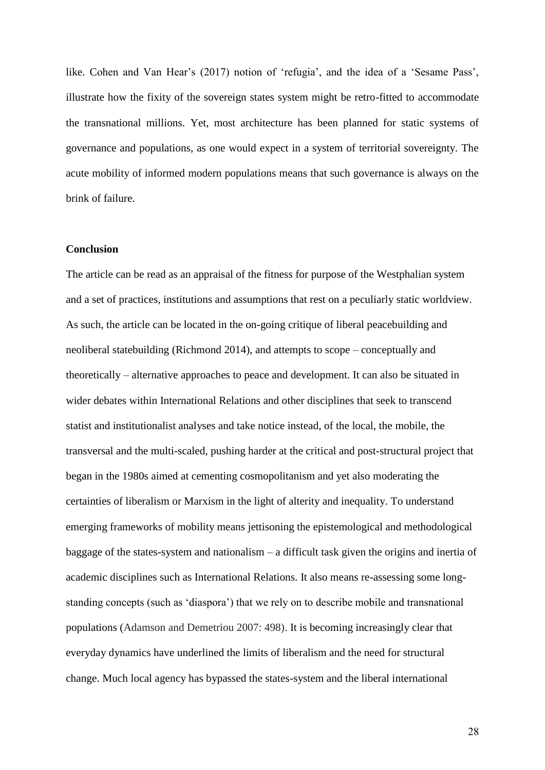like. Cohen and Van Hear's (2017) notion of 'refugia', and the idea of a 'Sesame Pass', illustrate how the fixity of the sovereign states system might be retro-fitted to accommodate the transnational millions. Yet, most architecture has been planned for static systems of governance and populations, as one would expect in a system of territorial sovereignty. The acute mobility of informed modern populations means that such governance is always on the brink of failure.

#### **Conclusion**

The article can be read as an appraisal of the fitness for purpose of the Westphalian system and a set of practices, institutions and assumptions that rest on a peculiarly static worldview. As such, the article can be located in the on-going critique of liberal peacebuilding and neoliberal statebuilding (Richmond 2014), and attempts to scope – conceptually and theoretically – alternative approaches to peace and development. It can also be situated in wider debates within International Relations and other disciplines that seek to transcend statist and institutionalist analyses and take notice instead, of the local, the mobile, the transversal and the multi-scaled, pushing harder at the critical and post-structural project that began in the 1980s aimed at cementing cosmopolitanism and yet also moderating the certainties of liberalism or Marxism in the light of alterity and inequality. To understand emerging frameworks of mobility means jettisoning the epistemological and methodological baggage of the states-system and nationalism – a difficult task given the origins and inertia of academic disciplines such as International Relations. It also means re-assessing some longstanding concepts (such as 'diaspora') that we rely on to describe mobile and transnational populations (Adamson and Demetriou 2007: 498). It is becoming increasingly clear that everyday dynamics have underlined the limits of liberalism and the need for structural change. Much local agency has bypassed the states-system and the liberal international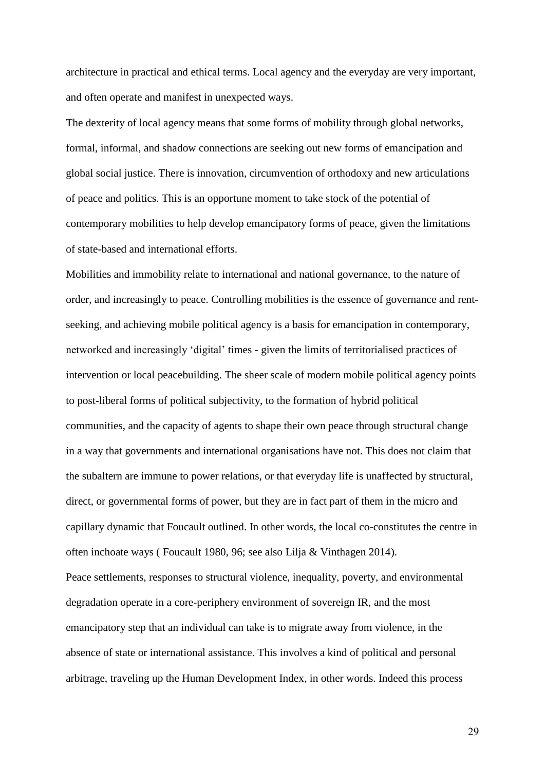architecture in practical and ethical terms. Local agency and the everyday are very important, and often operate and manifest in unexpected ways.

The dexterity of local agency means that some forms of mobility through global networks, formal, informal, and shadow connections are seeking out new forms of emancipation and global social justice. There is innovation, circumvention of orthodoxy and new articulations of peace and politics. This is an opportune moment to take stock of the potential of contemporary mobilities to help develop emancipatory forms of peace, given the limitations of state-based and international efforts.

Mobilities and immobility relate to international and national governance, to the nature of order, and increasingly to peace. Controlling mobilities is the essence of governance and rentseeking, and achieving mobile political agency is a basis for emancipation in contemporary, networked and increasingly 'digital' times - given the limits of territorialised practices of intervention or local peacebuilding. The sheer scale of modern mobile political agency points to post-liberal forms of political subjectivity, to the formation of hybrid political communities, and the capacity of agents to shape their own peace through structural change in a way that governments and international organisations have not. This does not claim that the subaltern are immune to power relations, or that everyday life is unaffected by structural, direct, or governmental forms of power, but they are in fact part of them in the micro and capillary dynamic that Foucault outlined. In other words, the local co-constitutes the centre in often inchoate ways ( Foucault 1980, 96; see also Lilja & Vinthagen 2014). Peace settlements, responses to structural violence, inequality, poverty, and environmental degradation operate in a core-periphery environment of sovereign IR, and the most emancipatory step that an individual can take is to migrate away from violence, in the absence of state or international assistance. This involves a kind of political and personal arbitrage, traveling up the Human Development Index, in other words. Indeed this process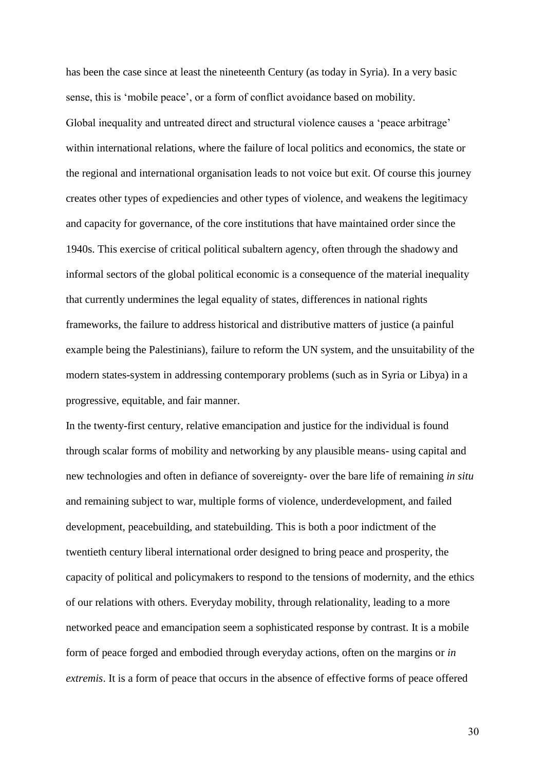has been the case since at least the nineteenth Century (as today in Syria). In a very basic sense, this is 'mobile peace', or a form of conflict avoidance based on mobility. Global inequality and untreated direct and structural violence causes a 'peace arbitrage' within international relations, where the failure of local politics and economics, the state or the regional and international organisation leads to not voice but exit. Of course this journey creates other types of expediencies and other types of violence, and weakens the legitimacy and capacity for governance, of the core institutions that have maintained order since the 1940s. This exercise of critical political subaltern agency, often through the shadowy and informal sectors of the global political economic is a consequence of the material inequality that currently undermines the legal equality of states, differences in national rights frameworks, the failure to address historical and distributive matters of justice (a painful example being the Palestinians), failure to reform the UN system, and the unsuitability of the modern states-system in addressing contemporary problems (such as in Syria or Libya) in a progressive, equitable, and fair manner.

In the twenty-first century, relative emancipation and justice for the individual is found through scalar forms of mobility and networking by any plausible means- using capital and new technologies and often in defiance of sovereignty- over the bare life of remaining *in situ* and remaining subject to war, multiple forms of violence, underdevelopment, and failed development, peacebuilding, and statebuilding. This is both a poor indictment of the twentieth century liberal international order designed to bring peace and prosperity, the capacity of political and policymakers to respond to the tensions of modernity, and the ethics of our relations with others. Everyday mobility, through relationality, leading to a more networked peace and emancipation seem a sophisticated response by contrast. It is a mobile form of peace forged and embodied through everyday actions, often on the margins or *in extremis*. It is a form of peace that occurs in the absence of effective forms of peace offered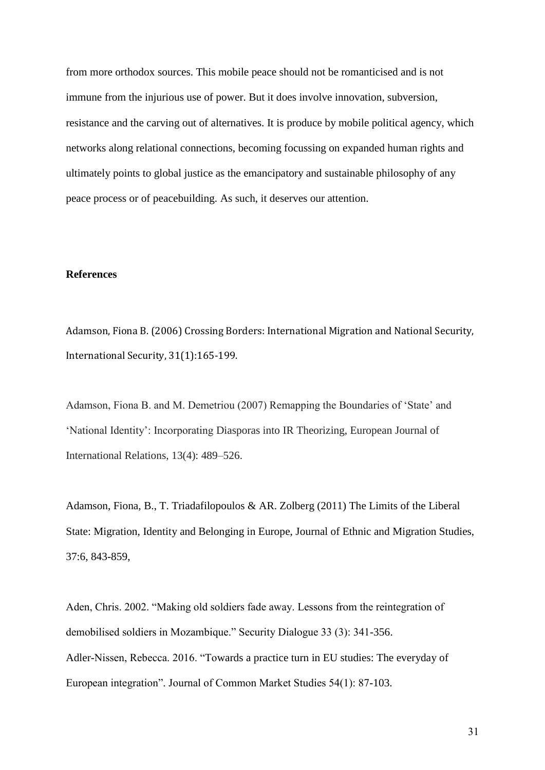from more orthodox sources. This mobile peace should not be romanticised and is not immune from the injurious use of power. But it does involve innovation, subversion, resistance and the carving out of alternatives. It is produce by mobile political agency, which networks along relational connections, becoming focussing on expanded human rights and ultimately points to global justice as the emancipatory and sustainable philosophy of any peace process or of peacebuilding. As such, it deserves our attention.

## **References**

Adamson, Fiona B. (2006) Crossing Borders: International Migration and National Security, International Security, 31(1):165-199.

Adamson, Fiona B. and M. Demetriou (2007) Remapping the Boundaries of 'State' and 'National Identity': Incorporating Diasporas into IR Theorizing, European Journal of International Relations, 13(4): 489–526.

Adamson, Fiona, B., T. Triadafilopoulos & AR. Zolberg (2011) The Limits of the Liberal State: Migration, Identity and Belonging in Europe, Journal of Ethnic and Migration Studies, 37:6, 843-859,

Aden, Chris. 2002. "Making old soldiers fade away. Lessons from the reintegration of demobilised soldiers in Mozambique." Security Dialogue 33 (3): 341-356. Adler-Nissen, Rebecca. 2016. "Towards a practice turn in EU studies: The everyday of European integration". Journal of Common Market Studies 54(1): 87-103.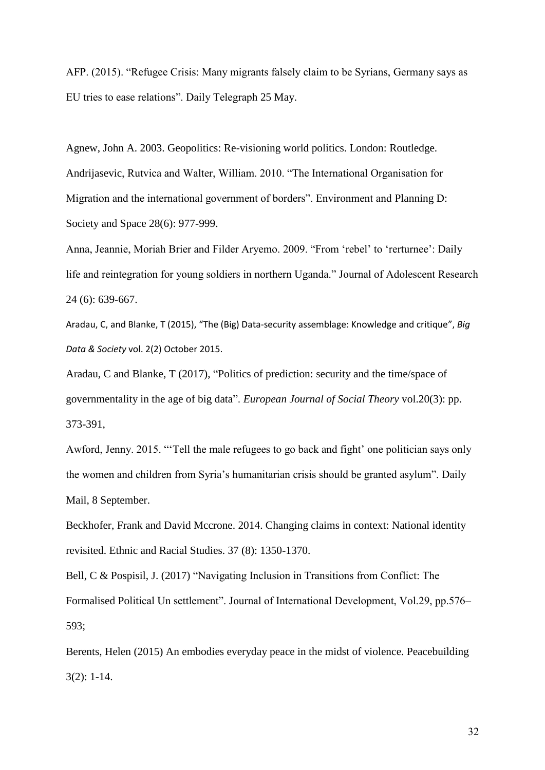AFP. (2015). "Refugee Crisis: Many migrants falsely claim to be Syrians, Germany says as EU tries to ease relations". Daily Telegraph 25 May.

Agnew, John A. 2003. Geopolitics: Re-visioning world politics. London: Routledge. Andrijasevic, Rutvica and Walter, William. 2010. "The International Organisation for Migration and the international government of borders". Environment and Planning D: Society and Space 28(6): 977-999.

Anna, Jeannie, Moriah Brier and Filder Aryemo. 2009. "From 'rebel' to 'rerturnee': Daily life and reintegration for young soldiers in northern Uganda." Journal of Adolescent Research 24 (6): 639-667.

Aradau, C, and Blanke, T (2015), "The (Big) Data-security assemblage: Knowledge and critique", *Big Data & Society* vol. 2(2) October 2015.

Aradau, C and Blanke, T (2017), "Politics of prediction: security and the time/space of governmentality in the age of big data". *European Journal of Social Theory* vol.20(3): pp. 373-391,

Awford, Jenny. 2015. "'Tell the male refugees to go back and fight' one politician says only the women and children from Syria's humanitarian crisis should be granted asylum". Daily Mail, 8 September.

Beckhofer, Frank and David Mccrone. 2014. Changing claims in context: National identity revisited. Ethnic and Racial Studies. 37 (8): 1350-1370.

Bell, C & Pospisil, J. (2017) "Navigating Inclusion in Transitions from Conflict: The Formalised Political Un settlement". Journal of International Development, Vol.29, pp.576– 593;

Berents, Helen (2015) An embodies everyday peace in the midst of violence. Peacebuilding 3(2): 1-14.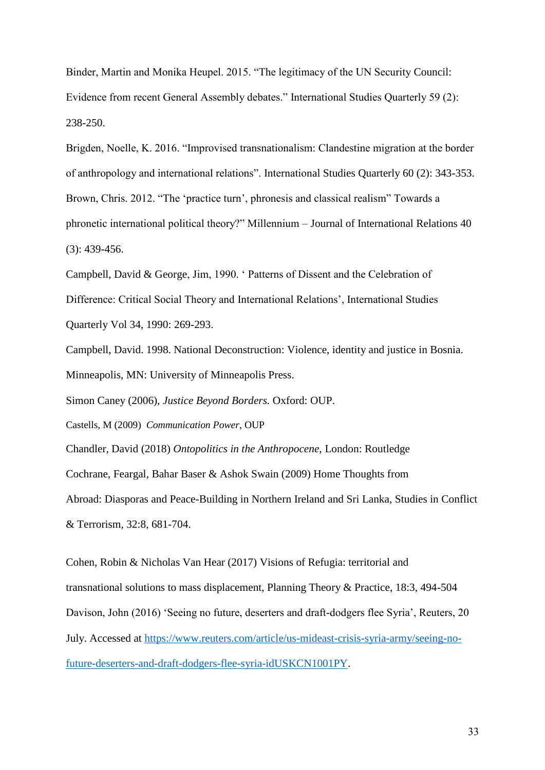Binder, Martin and Monika Heupel. 2015. "The legitimacy of the UN Security Council: Evidence from recent General Assembly debates." International Studies Quarterly 59 (2): 238-250.

Brigden, Noelle, K. 2016. "Improvised transnationalism: Clandestine migration at the border of anthropology and international relations". International Studies Quarterly 60 (2): 343-353. Brown, Chris. 2012. "The 'practice turn', phronesis and classical realism" Towards a phronetic international political theory?" Millennium – Journal of International Relations 40 (3): 439-456.

Campbell, David & George, Jim, 1990. ' Patterns of Dissent and the Celebration of Difference: Critical Social Theory and International Relations', International Studies Quarterly Vol 34, 1990: 269-293.

Campbell, David. 1998. National Deconstruction: Violence, identity and justice in Bosnia. Minneapolis, MN: University of Minneapolis Press.

Simon Caney (2006), *Justice Beyond Borders.* Oxford: OUP.

Castells, M (2009) *Communication Power*, OUP

Chandler, David (2018) *Ontopolitics in the Anthropocene,* London: Routledge

Cochrane, Feargal, Bahar Baser & Ashok Swain (2009) Home Thoughts from

Abroad: Diasporas and Peace-Building in Northern Ireland and Sri Lanka, Studies in Conflict & Terrorism, 32:8, 681-704.

Cohen, Robin & Nicholas Van Hear (2017) Visions of Refugia: territorial and transnational solutions to mass displacement, Planning Theory & Practice, 18:3, 494-504 Davison, John (2016) 'Seeing no future, deserters and draft-dodgers flee Syria', Reuters, 20 July. Accessed at [https://www.reuters.com/article/us-mideast-crisis-syria-army/seeing-no](https://www.reuters.com/article/us-mideast-crisis-syria-army/seeing-no-future-deserters-and-draft-dodgers-flee-syria-idUSKCN1001PY)[future-deserters-and-draft-dodgers-flee-syria-idUSKCN1001PY.](https://www.reuters.com/article/us-mideast-crisis-syria-army/seeing-no-future-deserters-and-draft-dodgers-flee-syria-idUSKCN1001PY)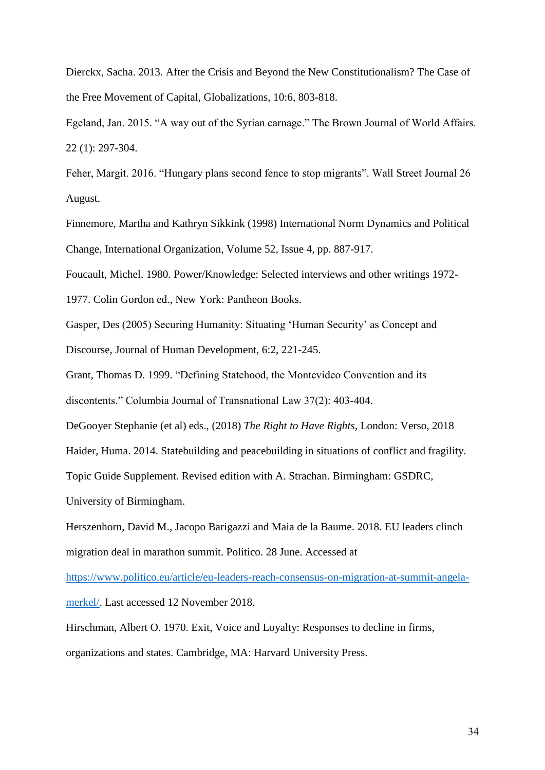Dierckx, Sacha. 2013. After the Crisis and Beyond the New Constitutionalism? The Case of the Free Movement of Capital, Globalizations, 10:6, 803-818.

Egeland, Jan. 2015. "A way out of the Syrian carnage." The Brown Journal of World Affairs. 22 (1): 297-304.

Feher, Margit. 2016. "Hungary plans second fence to stop migrants". Wall Street Journal 26 August.

Finnemore, Martha and Kathryn Sikkink (1998) International Norm Dynamics and Political Change, International Organization, Volume 52, Issue 4, pp. 887-917.

Foucault, Michel. 1980. Power/Knowledge: Selected interviews and other writings 1972-

1977. Colin Gordon ed., New York: Pantheon Books.

Gasper, Des (2005) Securing Humanity: Situating 'Human Security' as Concept and Discourse, Journal of Human Development, 6:2, 221-245.

Grant, Thomas D. 1999. "Defining Statehood, the Montevideo Convention and its

discontents." Columbia Journal of Transnational Law 37(2): 403-404.

DeGooyer Stephanie (et al) eds., (2018) *The Right to Have Rights*, London: Verso, 2018

Haider, Huma. 2014. Statebuilding and peacebuilding in situations of conflict and fragility.

Topic Guide Supplement. Revised edition with A. Strachan. Birmingham: GSDRC,

University of Birmingham.

Herszenhorn, David M., Jacopo Barigazzi and Maia de la Baume. 2018. EU leaders clinch migration deal in marathon summit. Politico. 28 June. Accessed at

[https://www.politico.eu/article/eu-leaders-reach-consensus-on-migration-at-summit-angela-](https://www.politico.eu/article/eu-leaders-reach-consensus-on-migration-at-summit-angela-merkel/)

[merkel/.](https://www.politico.eu/article/eu-leaders-reach-consensus-on-migration-at-summit-angela-merkel/) Last accessed 12 November 2018.

Hirschman, Albert O. 1970. Exit, Voice and Loyalty: Responses to decline in firms,

organizations and states. Cambridge, MA: Harvard University Press.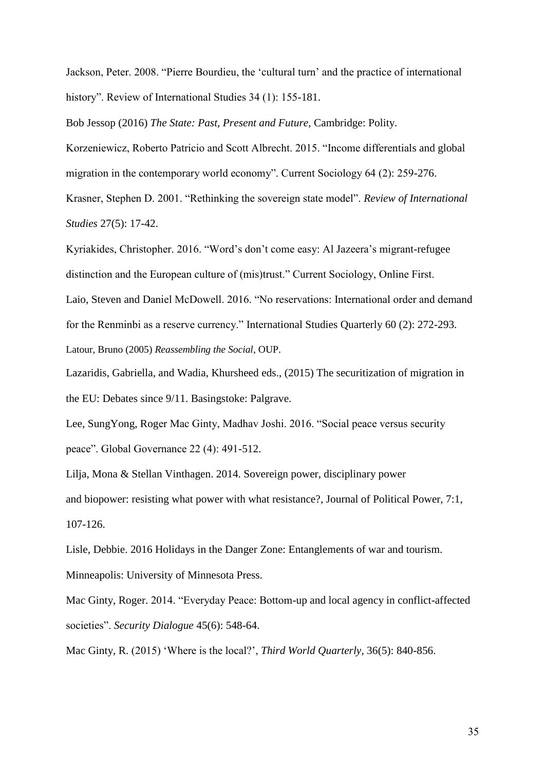Jackson, Peter. 2008. "Pierre Bourdieu, the 'cultural turn' and the practice of international history". Review of International Studies 34 (1): 155-181.

Bob Jessop (2016) *The State: Past, Present and Future*, Cambridge: Polity.

Korzeniewicz, Roberto Patricio and Scott Albrecht. 2015. "Income differentials and global migration in the contemporary world economy". Current Sociology 64 (2): 259-276.

Krasner, Stephen D. 2001. "Rethinking the sovereign state model". *Review of International Studies* 27(5): 17-42.

Kyriakides, Christopher. 2016. "Word's don't come easy: Al Jazeera's migrant-refugee distinction and the European culture of (mis)trust." Current Sociology, Online First.

for the Renminbi as a reserve currency." International Studies Quarterly 60 (2): 272-293. Latour, Bruno (2005) *Reassembling the Social*, OUP.

Laio, Steven and Daniel McDowell. 2016. "No reservations: International order and demand

Lazaridis, Gabriella, and Wadia, Khursheed eds., (2015) The securitization of migration in the EU: Debates since 9/11. Basingstoke: Palgrave.

Lee, SungYong, Roger Mac Ginty, Madhav Joshi. 2016. "Social peace versus security peace". Global Governance 22 (4): 491-512.

Lilja, Mona & Stellan Vinthagen. 2014. Sovereign power, disciplinary power and biopower: resisting what power with what resistance?, Journal of Political Power, 7:1, 107-126.

Lisle, Debbie. 2016 Holidays in the Danger Zone: Entanglements of war and tourism. Minneapolis: University of Minnesota Press.

Mac Ginty, Roger. 2014. "Everyday Peace: Bottom-up and local agency in conflict-affected societies". *Security Dialogue* 45(6): 548-64.

Mac Ginty, R. (2015) 'Where is the local?', *Third World Quarterly*, 36(5): 840-856.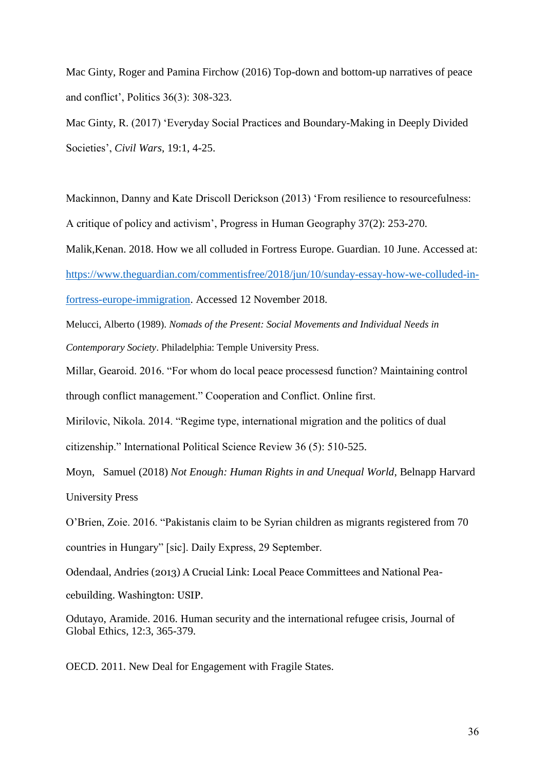Mac Ginty, Roger and Pamina Firchow (2016) Top-down and bottom-up narratives of peace and conflict', Politics 36(3): 308-323.

Mac Ginty, R. (2017) 'Everyday Social Practices and Boundary-Making in Deeply Divided Societies', *Civil Wars*, 19:1, 4-25.

Mackinnon, Danny and Kate Driscoll Derickson (2013) 'From resilience to resourcefulness:

A critique of policy and activism', Progress in Human Geography 37(2): 253-270.

Malik,Kenan. 2018. How we all colluded in Fortress Europe. Guardian. 10 June. Accessed at:

[https://www.theguardian.com/commentisfree/2018/jun/10/sunday-essay-how-we-colluded-in-](https://www.theguardian.com/commentisfree/2018/jun/10/sunday-essay-how-we-colluded-in-fortress-europe-immigration)

[fortress-europe-immigration.](https://www.theguardian.com/commentisfree/2018/jun/10/sunday-essay-how-we-colluded-in-fortress-europe-immigration) Accessed 12 November 2018.

Melucci, Alberto (1989). *Nomads of the Present: Social Movements and Individual Needs in Contemporary Society*. Philadelphia: Temple University Press.

Millar, Gearoid. 2016. "For whom do local peace processesd function? Maintaining control through conflict management." Cooperation and Conflict. Online first.

Mirilovic, Nikola. 2014. "Regime type, international migration and the politics of dual citizenship." International Political Science Review 36 (5): 510-525.

Moyn, Samuel (2018) *Not Enough: Human Rights in and Unequal World*, Belnapp Harvard University Press

O'Brien, Zoie. 2016. "Pakistanis claim to be Syrian children as migrants registered from 70 countries in Hungary" [sic]. Daily Express, 29 September.

Odendaal, Andries (2013) A Crucial Link: Local Peace Committees and National Peacebuilding. Washington: USIP.

Odutayo, Aramide. 2016. Human security and the international refugee crisis, Journal of Global Ethics, 12:3, 365-379.

OECD. 2011. New Deal for Engagement with Fragile States.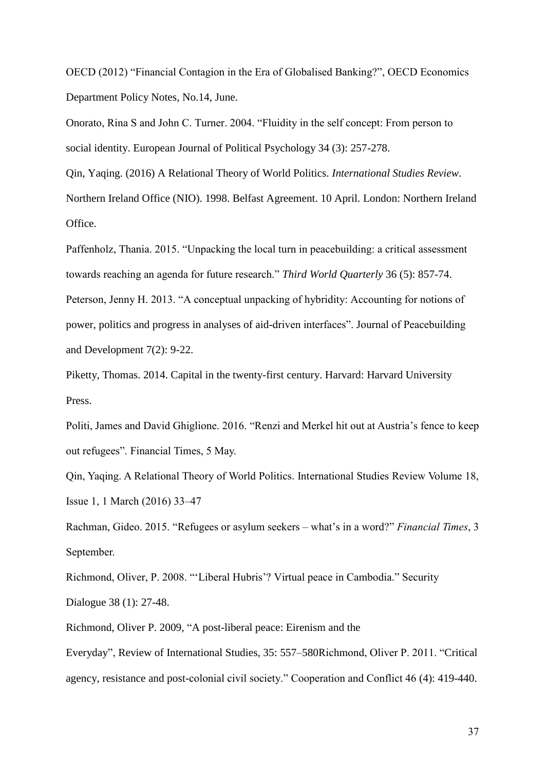OECD (2012) "Financial Contagion in the Era of Globalised Banking?", OECD Economics Department Policy Notes, No.14, June.

Onorato, Rina S and John C. Turner. 2004. "Fluidity in the self concept: From person to social identity. European Journal of Political Psychology 34 (3): 257-278.

Qin, Yaqing. (2016) A Relational Theory of World Politics. *International Studies Review*. Northern Ireland Office (NIO). 1998. Belfast Agreement. 10 April. London: Northern Ireland Office.

Paffenholz, Thania. 2015. "Unpacking the local turn in peacebuilding: a critical assessment towards reaching an agenda for future research." *Third World Quarterly* 36 (5): 857-74.

Peterson, Jenny H. 2013. "A conceptual unpacking of hybridity: Accounting for notions of power, politics and progress in analyses of aid-driven interfaces". Journal of Peacebuilding and Development 7(2): 9-22.

Piketty, Thomas. 2014. Capital in the twenty-first century. Harvard: Harvard University Press.

Politi, James and David Ghiglione. 2016. "Renzi and Merkel hit out at Austria's fence to keep out refugees". Financial Times, 5 May.

Qin, Yaqing. A Relational Theory of World Politics. International Studies Review Volume 18, Issue 1, 1 March (2016) 33–47

Rachman, Gideo. 2015. "Refugees or asylum seekers – what's in a word?" *Financial Times*, 3 September.

Richmond, Oliver, P. 2008. "'Liberal Hubris'? Virtual peace in Cambodia." Security Dialogue 38 (1): 27-48.

Richmond, Oliver P. 2009, "A post-liberal peace: Eirenism and the

Everyday", Review of International Studies, 35: 557–580Richmond, Oliver P. 2011. "Critical agency, resistance and post-colonial civil society." Cooperation and Conflict 46 (4): 419-440.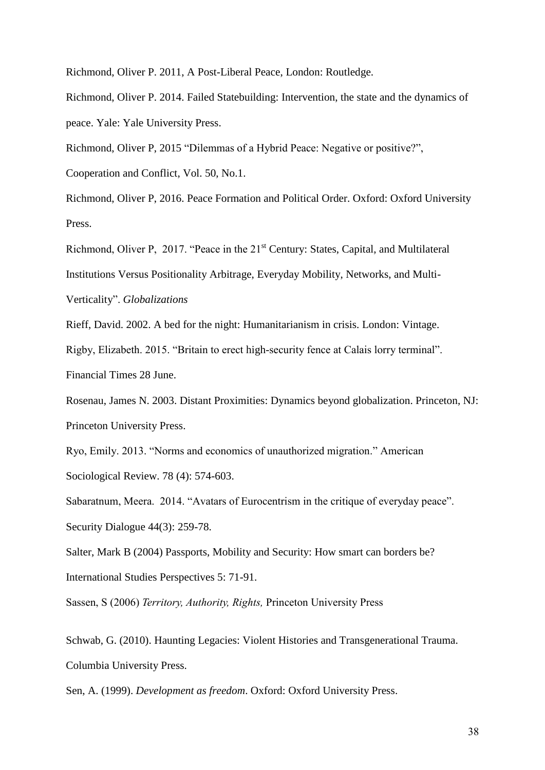Richmond, Oliver P. 2011, A Post-Liberal Peace, London: Routledge.

Richmond, Oliver P. 2014. Failed Statebuilding: Intervention, the state and the dynamics of peace. Yale: Yale University Press.

Richmond, Oliver P, 2015 "Dilemmas of a Hybrid Peace: Negative or positive?",

Cooperation and Conflict, Vol. 50, No.1.

Richmond, Oliver P, 2016. Peace Formation and Political Order. Oxford: Oxford University Press.

Richmond, Oliver P, 2017. "Peace in the 21st Century: States, Capital, and Multilateral Institutions Versus Positionality Arbitrage, Everyday Mobility, Networks, and Multi-Verticality". *Globalizations*

Rieff, David. 2002. A bed for the night: Humanitarianism in crisis. London: Vintage.

Rigby, Elizabeth. 2015. "Britain to erect high-security fence at Calais lorry terminal".

Financial Times 28 June.

Rosenau, James N. 2003. Distant Proximities: Dynamics beyond globalization. Princeton, NJ: Princeton University Press.

Ryo, Emily. 2013. "Norms and economics of unauthorized migration." American Sociological Review. 78 (4): 574-603.

Sabaratnum, Meera. 2014. "Avatars of Eurocentrism in the critique of everyday peace". Security Dialogue 44(3): 259-78.

Salter, Mark B (2004) Passports, Mobility and Security: How smart can borders be? International Studies Perspectives 5: 71-91.

Sassen, S (2006) *Territory, Authority, Rights,* Princeton University Press

Schwab, G. (2010). Haunting Legacies: Violent Histories and Transgenerational Trauma. Columbia University Press.

Sen, A. (1999). *Development as freedom*. Oxford: Oxford University Press.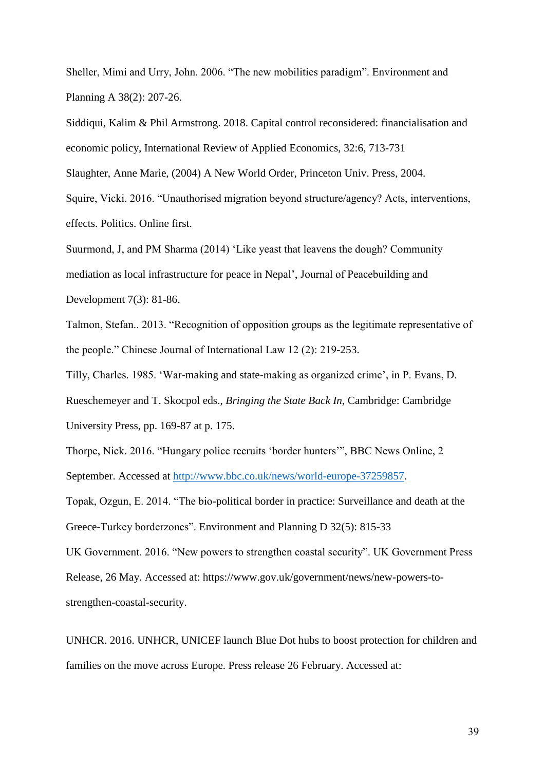Sheller, Mimi and Urry, John. 2006. "The new mobilities paradigm". Environment and Planning A 38(2): 207-26.

Siddiqui, Kalim & Phil Armstrong. 2018. Capital control reconsidered: financialisation and economic policy, International Review of Applied Economics, 32:6, 713-731

Slaughter, Anne Marie, (2004) A New World Order, Princeton Univ. Press, 2004.

Squire, Vicki. 2016. "Unauthorised migration beyond structure/agency? Acts, interventions, effects. Politics. Online first.

Suurmond, J, and PM Sharma (2014) 'Like yeast that leavens the dough? Community mediation as local infrastructure for peace in Nepal', Journal of Peacebuilding and Development 7(3): 81-86.

Talmon, Stefan.. 2013. "Recognition of opposition groups as the legitimate representative of the people." Chinese Journal of International Law 12 (2): 219-253.

Tilly, Charles. 1985. 'War-making and state-making as organized crime', in P. Evans, D. Rueschemeyer and T. Skocpol eds., *Bringing the State Back In*, Cambridge: Cambridge University Press, pp. 169-87 at p. 175.

Thorpe, Nick. 2016. "Hungary police recruits 'border hunters'", BBC News Online, 2 September. Accessed at [http://www.bbc.co.uk/news/world-europe-37259857.](http://www.bbc.co.uk/news/world-europe-37259857)

Topak, Ozgun, E. 2014. "The bio-political border in practice: Surveillance and death at the Greece-Turkey borderzones". Environment and Planning D 32(5): 815-33

UK Government. 2016. "New powers to strengthen coastal security". UK Government Press Release, 26 May. Accessed at: https://www.gov.uk/government/news/new-powers-tostrengthen-coastal-security.

UNHCR. 2016. UNHCR, UNICEF launch Blue Dot hubs to boost protection for children and families on the move across Europe. Press release 26 February. Accessed at: